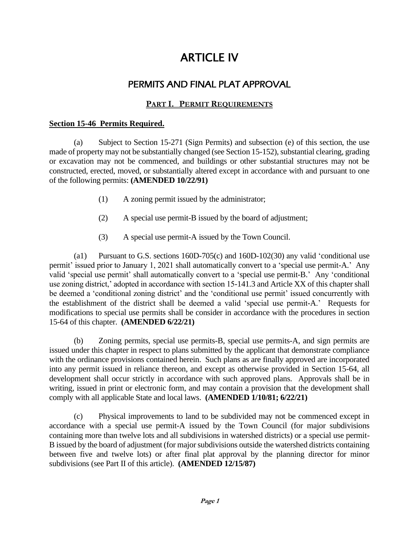# ARTICLE IV

## PERMITS AND FINAL PLAT APPROVAL

## **PART I. PERMIT REQUIREMENTS**

#### **Section 15-46 Permits Required.**

(a) Subject to Section 15-271 (Sign Permits) and subsection (e) of this section, the use made of property may not be substantially changed (see Section 15-152), substantial clearing, grading or excavation may not be commenced, and buildings or other substantial structures may not be constructed, erected, moved, or substantially altered except in accordance with and pursuant to one of the following permits: **(AMENDED 10/22/91)**

- (1) A zoning permit issued by the administrator;
- (2) A special use permit-B issued by the board of adjustment;
- (3) A special use permit-A issued by the Town Council.

(a1) Pursuant to G.S. sections 160D-705(c) and 160D-102(30) any valid 'conditional use permit' issued prior to January 1, 2021 shall automatically convert to a 'special use permit-A.' Any valid 'special use permit' shall automatically convert to a 'special use permit-B.' Any 'conditional use zoning district,' adopted in accordance with section 15-141.3 and Article XX of this chapter shall be deemed a 'conditional zoning district' and the 'conditional use permit' issued concurrently with the establishment of the district shall be deemed a valid 'special use permit-A.' Requests for modifications to special use permits shall be consider in accordance with the procedures in section 15-64 of this chapter. **(AMENDED 6/22/21)**

(b) Zoning permits, special use permits-B, special use permits-A, and sign permits are issued under this chapter in respect to plans submitted by the applicant that demonstrate compliance with the ordinance provisions contained herein. Such plans as are finally approved are incorporated into any permit issued in reliance thereon, and except as otherwise provided in Section 15-64, all development shall occur strictly in accordance with such approved plans. Approvals shall be in writing, issued in print or electronic form, and may contain a provision that the development shall comply with all applicable State and local laws. **(AMENDED 1/10/81; 6/22/21)**

(c) Physical improvements to land to be subdivided may not be commenced except in accordance with a special use permit-A issued by the Town Council (for major subdivisions containing more than twelve lots and all subdivisions in watershed districts) or a special use permit-B issued by the board of adjustment (for major subdivisions outside the watershed districts containing between five and twelve lots) or after final plat approval by the planning director for minor subdivisions (see Part II of this article). **(AMENDED 12/15/87)**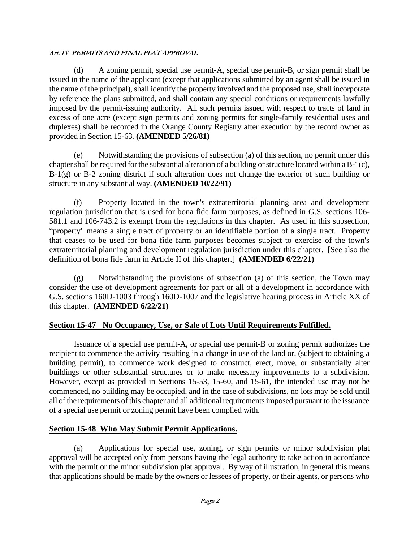(d) A zoning permit, special use permit-A, special use permit-B, or sign permit shall be issued in the name of the applicant (except that applications submitted by an agent shall be issued in the name of the principal), shall identify the property involved and the proposed use, shall incorporate by reference the plans submitted, and shall contain any special conditions or requirements lawfully imposed by the permit-issuing authority. All such permits issued with respect to tracts of land in excess of one acre (except sign permits and zoning permits for single-family residential uses and duplexes) shall be recorded in the Orange County Registry after execution by the record owner as provided in Section 15-63. **(AMENDED 5/26/81)**

Notwithstanding the provisions of subsection (a) of this section, no permit under this chapter shall be required for the substantial alteration of a building or structure located within a B-1(c), B-1(g) or B-2 zoning district if such alteration does not change the exterior of such building or structure in any substantial way. **(AMENDED 10/22/91)**

(f) Property located in the town's extraterritorial planning area and development regulation jurisdiction that is used for bona fide farm purposes, as defined in G.S. sections 106- 581.1 and 106-743.2 is exempt from the regulations in this chapter. As used in this subsection, "property" means a single tract of property or an identifiable portion of a single tract. Property that ceases to be used for bona fide farm purposes becomes subject to exercise of the town's extraterritorial planning and development regulation jurisdiction under this chapter. [See also the definition of bona fide farm in Article II of this chapter.] **(AMENDED 6/22/21)**

(g) Notwithstanding the provisions of subsection (a) of this section, the Town may consider the use of development agreements for part or all of a development in accordance with G.S. sections 160D-1003 through 160D-1007 and the legislative hearing process in Article XX of this chapter. **(AMENDED 6/22/21)**

## **Section 15-47 No Occupancy, Use, or Sale of Lots Until Requirements Fulfilled.**

Issuance of a special use permit-A, or special use permit-B or zoning permit authorizes the recipient to commence the activity resulting in a change in use of the land or, (subject to obtaining a building permit), to commence work designed to construct, erect, move, or substantially alter buildings or other substantial structures or to make necessary improvements to a subdivision. However, except as provided in Sections 15-53, 15-60, and 15-61, the intended use may not be commenced, no building may be occupied, and in the case of subdivisions, no lots may be sold until all of the requirements of this chapter and all additional requirements imposed pursuant to the issuance of a special use permit or zoning permit have been complied with.

## **Section 15-48 Who May Submit Permit Applications.**

(a) Applications for special use, zoning, or sign permits or minor subdivision plat approval will be accepted only from persons having the legal authority to take action in accordance with the permit or the minor subdivision plat approval. By way of illustration, in general this means that applications should be made by the owners or lessees of property, or their agents, or persons who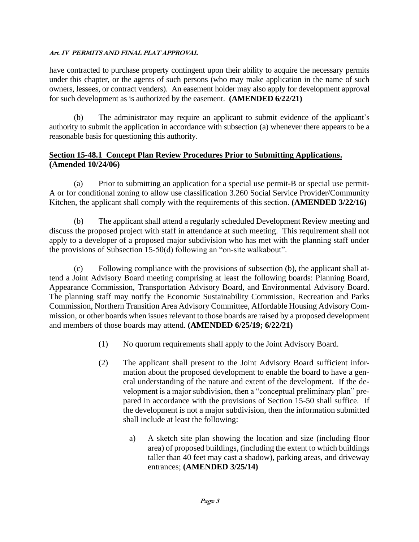have contracted to purchase property contingent upon their ability to acquire the necessary permits under this chapter, or the agents of such persons (who may make application in the name of such owners, lessees, or contract venders). An easement holder may also apply for development approval for such development as is authorized by the easement. **(AMENDED 6/22/21)**

(b) The administrator may require an applicant to submit evidence of the applicant's authority to submit the application in accordance with subsection (a) whenever there appears to be a reasonable basis for questioning this authority.

## **Section 15-48.1 Concept Plan Review Procedures Prior to Submitting Applications. (Amended 10/24/06)**

(a) Prior to submitting an application for a special use permit-B or special use permit-A or for conditional zoning to allow use classification 3.260 Social Service Provider/Community Kitchen, the applicant shall comply with the requirements of this section. **(AMENDED 3/22/16)**

(b) The applicant shall attend a regularly scheduled Development Review meeting and discuss the proposed project with staff in attendance at such meeting. This requirement shall not apply to a developer of a proposed major subdivision who has met with the planning staff under the provisions of Subsection 15-50(d) following an "on-site walkabout".

(c) Following compliance with the provisions of subsection (b), the applicant shall attend a Joint Advisory Board meeting comprising at least the following boards: Planning Board, Appearance Commission, Transportation Advisory Board, and Environmental Advisory Board. The planning staff may notify the Economic Sustainability Commission, Recreation and Parks Commission, Northern Transition Area Advisory Committee, Affordable Housing Advisory Commission, or other boards when issues relevant to those boards are raised by a proposed development and members of those boards may attend. **(AMENDED 6/25/19; 6/22/21)**

- (1) No quorum requirements shall apply to the Joint Advisory Board.
- (2) The applicant shall present to the Joint Advisory Board sufficient information about the proposed development to enable the board to have a general understanding of the nature and extent of the development. If the development is a major subdivision, then a "conceptual preliminary plan" prepared in accordance with the provisions of Section 15-50 shall suffice. If the development is not a major subdivision, then the information submitted shall include at least the following:
	- a) A sketch site plan showing the location and size (including floor area) of proposed buildings, (including the extent to which buildings taller than 40 feet may cast a shadow), parking areas, and driveway entrances; **(AMENDED 3/25/14)**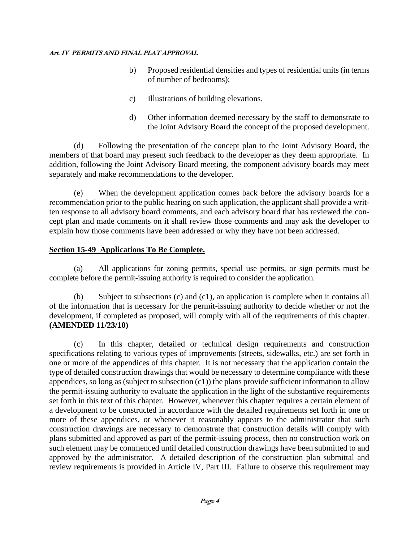- b) Proposed residential densities and types of residential units (in terms of number of bedrooms);
- c) Illustrations of building elevations.
- d) Other information deemed necessary by the staff to demonstrate to the Joint Advisory Board the concept of the proposed development.

(d) Following the presentation of the concept plan to the Joint Advisory Board, the members of that board may present such feedback to the developer as they deem appropriate. In addition, following the Joint Advisory Board meeting, the component advisory boards may meet separately and make recommendations to the developer.

(e) When the development application comes back before the advisory boards for a recommendation prior to the public hearing on such application, the applicant shall provide a written response to all advisory board comments, and each advisory board that has reviewed the concept plan and made comments on it shall review those comments and may ask the developer to explain how those comments have been addressed or why they have not been addressed.

## **Section 15-49 Applications To Be Complete.**

(a) All applications for zoning permits, special use permits, or sign permits must be complete before the permit-issuing authority is required to consider the application.

(b) Subject to subsections (c) and (c1), an application is complete when it contains all of the information that is necessary for the permit-issuing authority to decide whether or not the development, if completed as proposed, will comply with all of the requirements of this chapter. **(AMENDED 11/23/10)**

(c) In this chapter, detailed or technical design requirements and construction specifications relating to various types of improvements (streets, sidewalks, etc.) are set forth in one or more of the appendices of this chapter. It is not necessary that the application contain the type of detailed construction drawings that would be necessary to determine compliance with these appendices, so long as (subject to subsection  $(c1)$ ) the plans provide sufficient information to allow the permit-issuing authority to evaluate the application in the light of the substantive requirements set forth in this text of this chapter. However, whenever this chapter requires a certain element of a development to be constructed in accordance with the detailed requirements set forth in one or more of these appendices, or whenever it reasonably appears to the administrator that such construction drawings are necessary to demonstrate that construction details will comply with plans submitted and approved as part of the permit-issuing process, then no construction work on such element may be commenced until detailed construction drawings have been submitted to and approved by the administrator. A detailed description of the construction plan submittal and review requirements is provided in Article IV, Part III. Failure to observe this requirement may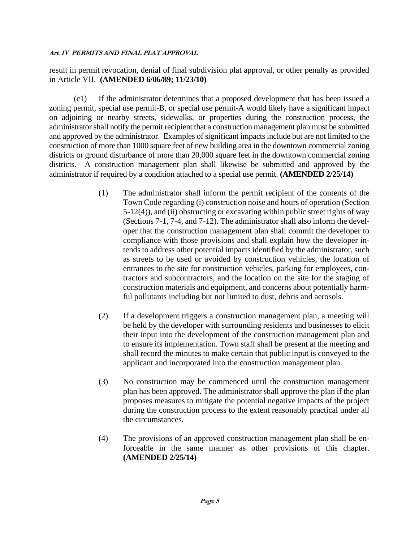result in permit revocation, denial of final subdivision plat approval, or other penalty as provided in Article VII. **(AMENDED 6/06/89; 11/23/10)**

(c1) If the administrator determines that a proposed development that has been issued a zoning permit, special use permit-B, or special use permit-A would likely have a significant impact on adjoining or nearby streets, sidewalks, or properties during the construction process, the administrator shall notify the permit recipient that a construction management plan must be submitted and approved by the administrator. Examples of significant impacts include but are not limited to the construction of more than 1000 square feet of new building area in the downtown commercial zoning districts or ground disturbance of more than 20,000 square feet in the downtown commercial zoning districts. A construction management plan shall likewise be submitted and approved by the administrator if required by a condition attached to a special use permit. **(AMENDED 2/25/14)**

- (1) The administrator shall inform the permit recipient of the contents of the Town Code regarding (i) construction noise and hours of operation (Section 5-12(4)), and (ii) obstructing or excavating within public street rights of way (Sections 7-1, 7-4, and 7-12). The administrator shall also inform the developer that the construction management plan shall commit the developer to compliance with those provisions and shall explain how the developer intends to address other potential impacts identified by the administrator, such as streets to be used or avoided by construction vehicles, the location of entrances to the site for construction vehicles, parking for employees, contractors and subcontractors, and the location on the site for the staging of construction materials and equipment, and concerns about potentially harmful pollutants including but not limited to dust, debris and aerosols.
- (2) If a development triggers a construction management plan, a meeting will be held by the developer with surrounding residents and businesses to elicit their input into the development of the construction management plan and to ensure its implementation. Town staff shall be present at the meeting and shall record the minutes to make certain that public input is conveyed to the applicant and incorporated into the construction management plan.
- (3) No construction may be commenced until the construction management plan has been approved. The administrator shall approve the plan if the plan proposes measures to mitigate the potential negative impacts of the project during the construction process to the extent reasonably practical under all the circumstances.
- (4) The provisions of an approved construction management plan shall be enforceable in the same manner as other provisions of this chapter. **(AMENDED 2/25/14)**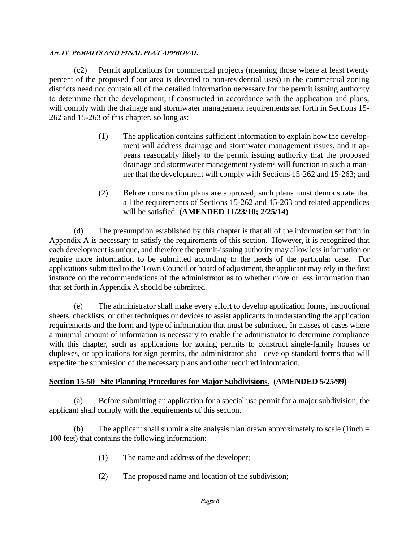(c2) Permit applications for commercial projects (meaning those where at least twenty percent of the proposed floor area is devoted to non-residential uses) in the commercial zoning districts need not contain all of the detailed information necessary for the permit issuing authority to determine that the development, if constructed in accordance with the application and plans, will comply with the drainage and stormwater management requirements set forth in Sections 15-262 and 15-263 of this chapter, so long as:

- (1) The application contains sufficient information to explain how the development will address drainage and stormwater management issues, and it appears reasonably likely to the permit issuing authority that the proposed drainage and stormwater management systems will function in such a manner that the development will comply with Sections 15-262 and 15-263; and
- (2) Before construction plans are approved, such plans must demonstrate that all the requirements of Sections 15-262 and 15-263 and related appendices will be satisfied. **(AMENDED 11/23/10; 2/25/14)**

(d) The presumption established by this chapter is that all of the information set forth in Appendix A is necessary to satisfy the requirements of this section. However, it is recognized that each development is unique, and therefore the permit-issuing authority may allow less information or require more information to be submitted according to the needs of the particular case. For applications submitted to the Town Council or board of adjustment, the applicant may rely in the first instance on the recommendations of the administrator as to whether more or less information than that set forth in Appendix A should be submitted.

(e) The administrator shall make every effort to develop application forms, instructional sheets, checklists, or other techniques or devices to assist applicants in understanding the application requirements and the form and type of information that must be submitted. In classes of cases where a minimal amount of information is necessary to enable the administrator to determine compliance with this chapter, such as applications for zoning permits to construct single-family houses or duplexes, or applications for sign permits, the administrator shall develop standard forms that will expedite the submission of the necessary plans and other required information.

## **Section 15-50 Site Planning Procedures for Major Subdivisions. (AMENDED 5/25/99)**

(a) Before submitting an application for a special use permit for a major subdivision, the applicant shall comply with the requirements of this section.

(b) The applicant shall submit a site analysis plan drawn approximately to scale (1inch  $=$ 100 feet) that contains the following information:

- (1) The name and address of the developer;
- (2) The proposed name and location of the subdivision;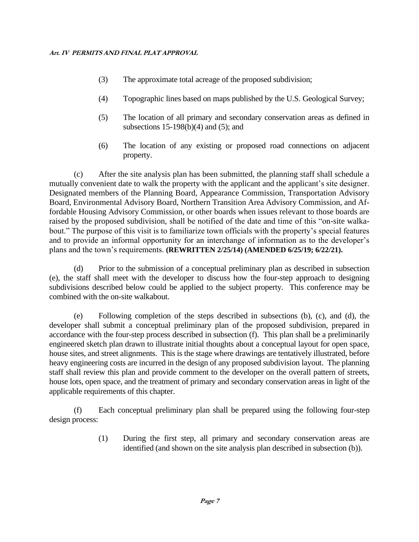- (3) The approximate total acreage of the proposed subdivision;
- (4) Topographic lines based on maps published by the U.S. Geological Survey;
- (5) The location of all primary and secondary conservation areas as defined in subsections 15-198(b)(4) and (5); and
- (6) The location of any existing or proposed road connections on adjacent property.

(c) After the site analysis plan has been submitted, the planning staff shall schedule a mutually convenient date to walk the property with the applicant and the applicant's site designer. Designated members of the Planning Board, Appearance Commission, Transportation Advisory Board, Environmental Advisory Board, Northern Transition Area Advisory Commission, and Affordable Housing Advisory Commission, or other boards when issues relevant to those boards are raised by the proposed subdivision, shall be notified of the date and time of this "on-site walkabout." The purpose of this visit is to familiarize town officials with the property's special features and to provide an informal opportunity for an interchange of information as to the developer's plans and the town's requirements. **(REWRITTEN 2/25/14) (AMENDED 6/25/19; 6/22/21).**

(d) Prior to the submission of a conceptual preliminary plan as described in subsection (e), the staff shall meet with the developer to discuss how the four-step approach to designing subdivisions described below could be applied to the subject property. This conference may be combined with the on-site walkabout.

(e) Following completion of the steps described in subsections (b), (c), and (d), the developer shall submit a conceptual preliminary plan of the proposed subdivision, prepared in accordance with the four-step process described in subsection (f). This plan shall be a preliminarily engineered sketch plan drawn to illustrate initial thoughts about a conceptual layout for open space, house sites, and street alignments. This is the stage where drawings are tentatively illustrated, before heavy engineering costs are incurred in the design of any proposed subdivision layout. The planning staff shall review this plan and provide comment to the developer on the overall pattern of streets, house lots, open space, and the treatment of primary and secondary conservation areas in light of the applicable requirements of this chapter.

(f) Each conceptual preliminary plan shall be prepared using the following four-step design process:

> (1) During the first step, all primary and secondary conservation areas are identified (and shown on the site analysis plan described in subsection (b)).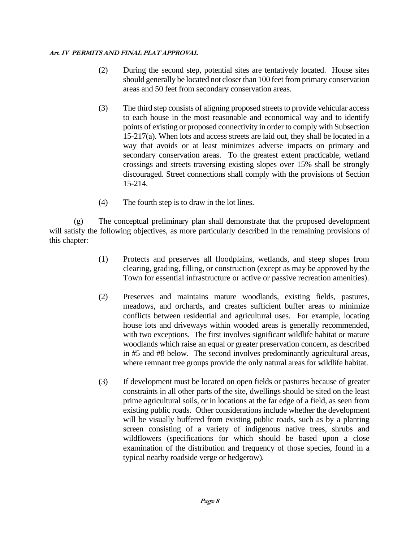- (2) During the second step, potential sites are tentatively located. House sites should generally be located not closer than 100 feet from primary conservation areas and 50 feet from secondary conservation areas.
- (3) The third step consists of aligning proposed streets to provide vehicular access to each house in the most reasonable and economical way and to identify points of existing or proposed connectivity in order to comply with Subsection 15-217(a). When lots and access streets are laid out, they shall be located in a way that avoids or at least minimizes adverse impacts on primary and secondary conservation areas. To the greatest extent practicable, wetland crossings and streets traversing existing slopes over 15% shall be strongly discouraged. Street connections shall comply with the provisions of Section 15-214.
- (4) The fourth step is to draw in the lot lines.

(g) The conceptual preliminary plan shall demonstrate that the proposed development will satisfy the following objectives, as more particularly described in the remaining provisions of this chapter:

- (1) Protects and preserves all floodplains, wetlands, and steep slopes from clearing, grading, filling, or construction (except as may be approved by the Town for essential infrastructure or active or passive recreation amenities).
- (2) Preserves and maintains mature woodlands, existing fields, pastures, meadows, and orchards, and creates sufficient buffer areas to minimize conflicts between residential and agricultural uses. For example, locating house lots and driveways within wooded areas is generally recommended, with two exceptions. The first involves significant wildlife habitat or mature woodlands which raise an equal or greater preservation concern, as described in #5 and #8 below. The second involves predominantly agricultural areas, where remnant tree groups provide the only natural areas for wildlife habitat.
- (3) If development must be located on open fields or pastures because of greater constraints in all other parts of the site, dwellings should be sited on the least prime agricultural soils, or in locations at the far edge of a field, as seen from existing public roads. Other considerations include whether the development will be visually buffered from existing public roads, such as by a planting screen consisting of a variety of indigenous native trees, shrubs and wildflowers (specifications for which should be based upon a close examination of the distribution and frequency of those species, found in a typical nearby roadside verge or hedgerow).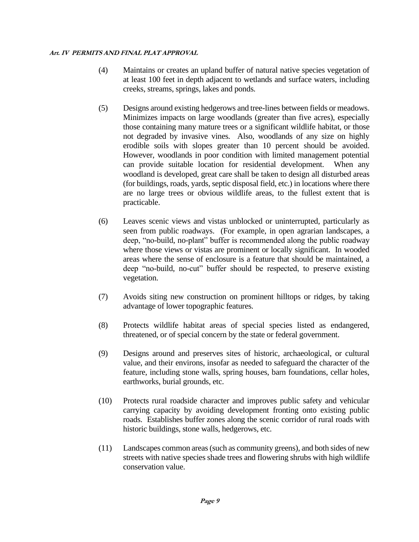- (4) Maintains or creates an upland buffer of natural native species vegetation of at least 100 feet in depth adjacent to wetlands and surface waters, including creeks, streams, springs, lakes and ponds.
- (5) Designs around existing hedgerows and tree-lines between fields or meadows. Minimizes impacts on large woodlands (greater than five acres), especially those containing many mature trees or a significant wildlife habitat, or those not degraded by invasive vines. Also, woodlands of any size on highly erodible soils with slopes greater than 10 percent should be avoided. However, woodlands in poor condition with limited management potential can provide suitable location for residential development. When any woodland is developed, great care shall be taken to design all disturbed areas (for buildings, roads, yards, septic disposal field, etc.) in locations where there are no large trees or obvious wildlife areas, to the fullest extent that is practicable.
- (6) Leaves scenic views and vistas unblocked or uninterrupted, particularly as seen from public roadways. (For example, in open agrarian landscapes, a deep, "no-build, no-plant" buffer is recommended along the public roadway where those views or vistas are prominent or locally significant. In wooded areas where the sense of enclosure is a feature that should be maintained, a deep "no-build, no-cut" buffer should be respected, to preserve existing vegetation.
- (7) Avoids siting new construction on prominent hilltops or ridges, by taking advantage of lower topographic features.
- (8) Protects wildlife habitat areas of special species listed as endangered, threatened, or of special concern by the state or federal government.
- (9) Designs around and preserves sites of historic, archaeological, or cultural value, and their environs, insofar as needed to safeguard the character of the feature, including stone walls, spring houses, barn foundations, cellar holes, earthworks, burial grounds, etc.
- (10) Protects rural roadside character and improves public safety and vehicular carrying capacity by avoiding development fronting onto existing public roads. Establishes buffer zones along the scenic corridor of rural roads with historic buildings, stone walls, hedgerows, etc.
- (11) Landscapes common areas (such as community greens), and both sides of new streets with native species shade trees and flowering shrubs with high wildlife conservation value.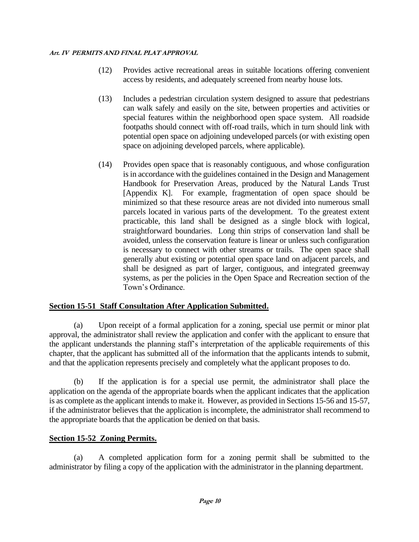- (12) Provides active recreational areas in suitable locations offering convenient access by residents, and adequately screened from nearby house lots.
- (13) Includes a pedestrian circulation system designed to assure that pedestrians can walk safely and easily on the site, between properties and activities or special features within the neighborhood open space system. All roadside footpaths should connect with off-road trails, which in turn should link with potential open space on adjoining undeveloped parcels (or with existing open space on adjoining developed parcels, where applicable).
- (14) Provides open space that is reasonably contiguous, and whose configuration is in accordance with the guidelines contained in the Design and Management Handbook for Preservation Areas, produced by the Natural Lands Trust [Appendix K]. For example, fragmentation of open space should be minimized so that these resource areas are not divided into numerous small parcels located in various parts of the development. To the greatest extent practicable, this land shall be designed as a single block with logical, straightforward boundaries. Long thin strips of conservation land shall be avoided, unless the conservation feature is linear or unless such configuration is necessary to connect with other streams or trails. The open space shall generally abut existing or potential open space land on adjacent parcels, and shall be designed as part of larger, contiguous, and integrated greenway systems, as per the policies in the Open Space and Recreation section of the Town's Ordinance.

## **Section 15-51 Staff Consultation After Application Submitted.**

(a) Upon receipt of a formal application for a zoning, special use permit or minor plat approval, the administrator shall review the application and confer with the applicant to ensure that the applicant understands the planning staff's interpretation of the applicable requirements of this chapter, that the applicant has submitted all of the information that the applicants intends to submit, and that the application represents precisely and completely what the applicant proposes to do.

(b) If the application is for a special use permit, the administrator shall place the application on the agenda of the appropriate boards when the applicant indicates that the application is as complete as the applicant intends to make it. However, as provided in Sections 15-56 and 15-57, if the administrator believes that the application is incomplete, the administrator shall recommend to the appropriate boards that the application be denied on that basis.

## **Section 15-52 Zoning Permits.**

(a) A completed application form for a zoning permit shall be submitted to the administrator by filing a copy of the application with the administrator in the planning department.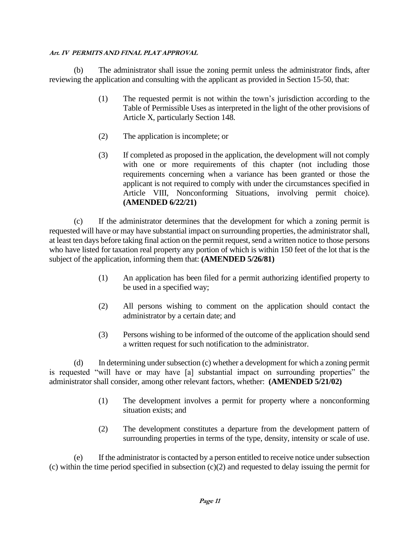(b) The administrator shall issue the zoning permit unless the administrator finds, after reviewing the application and consulting with the applicant as provided in Section 15-50, that:

- (1) The requested permit is not within the town's jurisdiction according to the Table of Permissible Uses as interpreted in the light of the other provisions of Article X, particularly Section 148.
- (2) The application is incomplete; or
- (3) If completed as proposed in the application, the development will not comply with one or more requirements of this chapter (not including those requirements concerning when a variance has been granted or those the applicant is not required to comply with under the circumstances specified in Article VIII, Nonconforming Situations, involving permit choice). **(AMENDED 6/22/21)**

(c) If the administrator determines that the development for which a zoning permit is requested will have or may have substantial impact on surrounding properties, the administratorshall, at least ten days before taking final action on the permit request, send a written notice to those persons who have listed for taxation real property any portion of which is within 150 feet of the lot that is the subject of the application, informing them that: **(AMENDED 5/26/81)**

- (1) An application has been filed for a permit authorizing identified property to be used in a specified way;
- (2) All persons wishing to comment on the application should contact the administrator by a certain date; and
- (3) Persons wishing to be informed of the outcome of the application should send a written request for such notification to the administrator.

(d) In determining under subsection (c) whether a development for which a zoning permit is requested "will have or may have [a] substantial impact on surrounding properties" the administrator shall consider, among other relevant factors, whether: **(AMENDED 5/21/02)**

- (1) The development involves a permit for property where a nonconforming situation exists; and
- (2) The development constitutes a departure from the development pattern of surrounding properties in terms of the type, density, intensity or scale of use.

(e) If the administrator is contacted by a person entitled to receive notice under subsection (c) within the time period specified in subsection (c)(2) and requested to delay issuing the permit for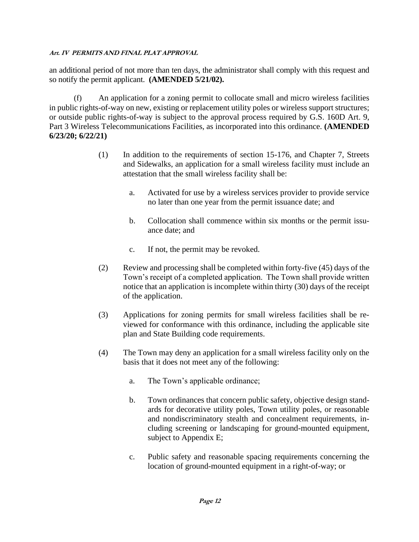an additional period of not more than ten days, the administrator shall comply with this request and so notify the permit applicant. **(AMENDED 5/21/02).**

(f) An application for a zoning permit to collocate small and micro wireless facilities in public rights-of-way on new, existing or replacement utility poles or wireless support structures; or outside public rights-of-way is subject to the approval process required by G.S. 160D Art. 9, Part 3 Wireless Telecommunications Facilities, as incorporated into this ordinance. **(AMENDED 6/23/20; 6/22/21)**

- (1) In addition to the requirements of section 15-176, and Chapter 7, Streets and Sidewalks, an application for a small wireless facility must include an attestation that the small wireless facility shall be:
	- a. Activated for use by a wireless services provider to provide service no later than one year from the permit issuance date; and
	- b. Collocation shall commence within six months or the permit issuance date; and
	- c. If not, the permit may be revoked.
- (2) Review and processing shall be completed within forty-five (45) days of the Town's receipt of a completed application. The Town shall provide written notice that an application is incomplete within thirty (30) days of the receipt of the application.
- (3) Applications for zoning permits for small wireless facilities shall be reviewed for conformance with this ordinance, including the applicable site plan and State Building code requirements.
- (4) The Town may deny an application for a small wireless facility only on the basis that it does not meet any of the following:
	- a. The Town's applicable ordinance;
	- b. Town ordinances that concern public safety, objective design standards for decorative utility poles, Town utility poles, or reasonable and nondiscriminatory stealth and concealment requirements, including screening or landscaping for ground-mounted equipment, subject to Appendix E;
	- c. Public safety and reasonable spacing requirements concerning the location of ground-mounted equipment in a right-of-way; or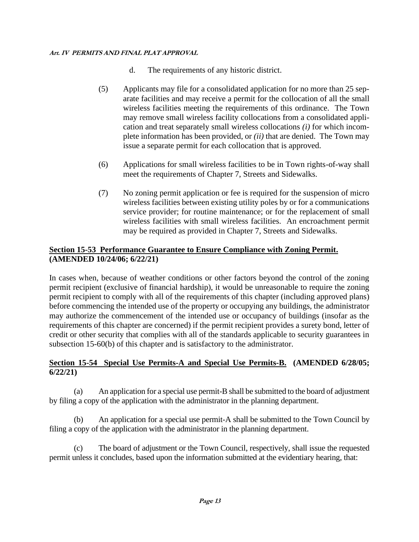- d. The requirements of any historic district.
- (5) Applicants may file for a consolidated application for no more than 25 separate facilities and may receive a permit for the collocation of all the small wireless facilities meeting the requirements of this ordinance. The Town may remove small wireless facility collocations from a consolidated application and treat separately small wireless collocations *(i)* for which incomplete information has been provided, or *(ii)* that are denied. The Town may issue a separate permit for each collocation that is approved.
- (6) Applications for small wireless facilities to be in Town rights-of-way shall meet the requirements of Chapter 7, Streets and Sidewalks.
- (7) No zoning permit application or fee is required for the suspension of micro wireless facilities between existing utility poles by or for a communications service provider; for routine maintenance; or for the replacement of small wireless facilities with small wireless facilities. An encroachment permit may be required as provided in Chapter 7, Streets and Sidewalks.

## **Section 15-53 Performance Guarantee to Ensure Compliance with Zoning Permit. (AMENDED 10/24/06; 6/22/21)**

In cases when, because of weather conditions or other factors beyond the control of the zoning permit recipient (exclusive of financial hardship), it would be unreasonable to require the zoning permit recipient to comply with all of the requirements of this chapter (including approved plans) before commencing the intended use of the property or occupying any buildings, the administrator may authorize the commencement of the intended use or occupancy of buildings (insofar as the requirements of this chapter are concerned) if the permit recipient provides a surety bond, letter of credit or other security that complies with all of the standards applicable to security guarantees in subsection 15-60(b) of this chapter and is satisfactory to the administrator.

## **Section 15-54 Special Use Permits-A and Special Use Permits-B. (AMENDED 6/28/05; 6/22/21)**

(a) An application for a special use permit-B shall be submitted to the board of adjustment by filing a copy of the application with the administrator in the planning department.

(b) An application for a special use permit-A shall be submitted to the Town Council by filing a copy of the application with the administrator in the planning department.

(c) The board of adjustment or the Town Council, respectively, shall issue the requested permit unless it concludes, based upon the information submitted at the evidentiary hearing, that: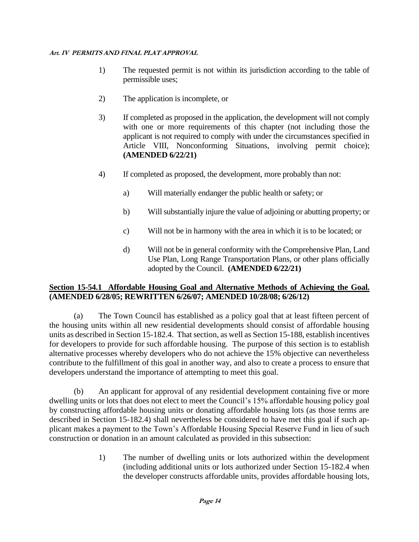- 1) The requested permit is not within its jurisdiction according to the table of permissible uses;
- 2) The application is incomplete, or
- 3) If completed as proposed in the application, the development will not comply with one or more requirements of this chapter (not including those the applicant is not required to comply with under the circumstances specified in Article VIII, Nonconforming Situations, involving permit choice); **(AMENDED 6/22/21)**
- 4) If completed as proposed, the development, more probably than not:
	- a) Will materially endanger the public health or safety; or
	- b) Will substantially injure the value of adjoining or abutting property; or
	- c) Will not be in harmony with the area in which it is to be located; or
	- d) Will not be in general conformity with the Comprehensive Plan, Land Use Plan, Long Range Transportation Plans, or other plans officially adopted by the Council. **(AMENDED 6/22/21)**

## **Section 15-54.1 Affordable Housing Goal and Alternative Methods of Achieving the Goal. (AMENDED 6/28/05; REWRITTEN 6/26/07; AMENDED 10/28/08; 6/26/12)**

(a) The Town Council has established as a policy goal that at least fifteen percent of the housing units within all new residential developments should consist of affordable housing units as described in Section 15-182.4. That section, as well as Section 15-188, establish incentives for developers to provide for such affordable housing. The purpose of this section is to establish alternative processes whereby developers who do not achieve the 15% objective can nevertheless contribute to the fulfillment of this goal in another way, and also to create a process to ensure that developers understand the importance of attempting to meet this goal.

(b) An applicant for approval of any residential development containing five or more dwelling units or lots that does not elect to meet the Council's 15% affordable housing policy goal by constructing affordable housing units or donating affordable housing lots (as those terms are described in Section 15-182.4) shall nevertheless be considered to have met this goal if such applicant makes a payment to the Town's Affordable Housing Special Reserve Fund in lieu of such construction or donation in an amount calculated as provided in this subsection:

> 1) The number of dwelling units or lots authorized within the development (including additional units or lots authorized under Section 15-182.4 when the developer constructs affordable units, provides affordable housing lots,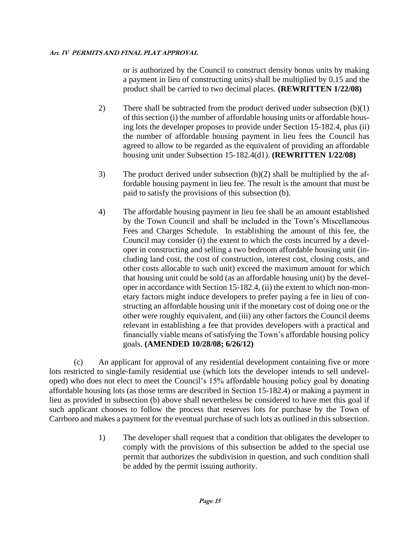or is authorized by the Council to construct density bonus units by making a payment in lieu of constructing units) shall be multiplied by 0.15 and the product shall be carried to two decimal places. **(REWRITTEN 1/22/08)**

- 2) There shall be subtracted from the product derived under subsection (b)(1) of this section (i) the number of affordable housing units or affordable housing lots the developer proposes to provide under Section 15-182.4, plus (ii) the number of affordable housing payment in lieu fees the Council has agreed to allow to be regarded as the equivalent of providing an affordable housing unit under Subsection 15-182.4(d1). **(REWRITTEN 1/22/08)**
- 3) The product derived under subsection (b)(2) shall be multiplied by the affordable housing payment in lieu fee. The result is the amount that must be paid to satisfy the provisions of this subsection (b).
- 4) The affordable housing payment in lieu fee shall be an amount established by the Town Council and shall be included in the Town's Miscellaneous Fees and Charges Schedule. In establishing the amount of this fee, the Council may consider (i) the extent to which the costs incurred by a developer in constructing and selling a two bedroom affordable housing unit (including land cost, the cost of construction, interest cost, closing costs, and other costs allocable to such unit) exceed the maximum amount for which that housing unit could be sold (as an affordable housing unit) by the developer in accordance with Section 15-182.4, (ii) the extent to which non-monetary factors might induce developers to prefer paying a fee in lieu of constructing an affordable housing unit if the monetary cost of doing one or the other were roughly equivalent, and (iii) any other factors the Council deems relevant in establishing a fee that provides developers with a practical and financially viable means of satisfying the Town's affordable housing policy goals. **(AMENDED 10/28/08; 6/26/12)**

(c) An applicant for approval of any residential development containing five or more lots restricted to single-family residential use (which lots the developer intends to sell undeveloped) who does not elect to meet the Council's 15% affordable housing policy goal by donating affordable housing lots (as those terms are described in Section 15-182.4) or making a payment in lieu as provided in subsection (b) above shall nevertheless be considered to have met this goal if such applicant chooses to follow the process that reserves lots for purchase by the Town of Carrboro and makes a payment for the eventual purchase of such lots as outlined in this subsection.

> 1) The developer shall request that a condition that obligates the developer to comply with the provisions of this subsection be added to the special use permit that authorizes the subdivision in question, and such condition shall be added by the permit issuing authority.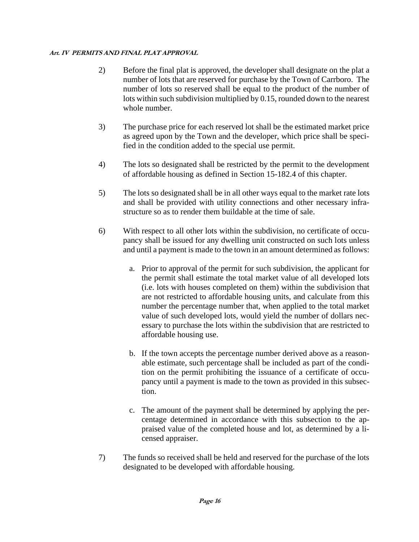- 2) Before the final plat is approved, the developer shall designate on the plat a number of lots that are reserved for purchase by the Town of Carrboro. The number of lots so reserved shall be equal to the product of the number of lots within such subdivision multiplied by 0.15, rounded down to the nearest whole number.
- 3) The purchase price for each reserved lot shall be the estimated market price as agreed upon by the Town and the developer, which price shall be specified in the condition added to the special use permit.
- 4) The lots so designated shall be restricted by the permit to the development of affordable housing as defined in Section 15-182.4 of this chapter.
- 5) The lots so designated shall be in all other ways equal to the market rate lots and shall be provided with utility connections and other necessary infrastructure so as to render them buildable at the time of sale.
- 6) With respect to all other lots within the subdivision, no certificate of occupancy shall be issued for any dwelling unit constructed on such lots unless and until a payment is made to the town in an amount determined as follows:
	- a. Prior to approval of the permit for such subdivision, the applicant for the permit shall estimate the total market value of all developed lots (i.e. lots with houses completed on them) within the subdivision that are not restricted to affordable housing units, and calculate from this number the percentage number that, when applied to the total market value of such developed lots, would yield the number of dollars necessary to purchase the lots within the subdivision that are restricted to affordable housing use.
	- b. If the town accepts the percentage number derived above as a reasonable estimate, such percentage shall be included as part of the condition on the permit prohibiting the issuance of a certificate of occupancy until a payment is made to the town as provided in this subsection.
	- c. The amount of the payment shall be determined by applying the percentage determined in accordance with this subsection to the appraised value of the completed house and lot, as determined by a licensed appraiser.
- 7) The funds so received shall be held and reserved for the purchase of the lots designated to be developed with affordable housing.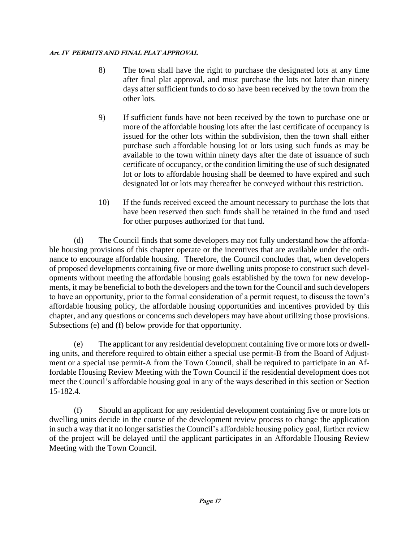- 8) The town shall have the right to purchase the designated lots at any time after final plat approval, and must purchase the lots not later than ninety days after sufficient funds to do so have been received by the town from the other lots.
- 9) If sufficient funds have not been received by the town to purchase one or more of the affordable housing lots after the last certificate of occupancy is issued for the other lots within the subdivision, then the town shall either purchase such affordable housing lot or lots using such funds as may be available to the town within ninety days after the date of issuance of such certificate of occupancy, or the condition limiting the use of such designated lot or lots to affordable housing shall be deemed to have expired and such designated lot or lots may thereafter be conveyed without this restriction.
- 10) If the funds received exceed the amount necessary to purchase the lots that have been reserved then such funds shall be retained in the fund and used for other purposes authorized for that fund.

(d) The Council finds that some developers may not fully understand how the affordable housing provisions of this chapter operate or the incentives that are available under the ordinance to encourage affordable housing. Therefore, the Council concludes that, when developers of proposed developments containing five or more dwelling units propose to construct such developments without meeting the affordable housing goals established by the town for new developments, it may be beneficial to both the developers and the town for the Council and such developers to have an opportunity, prior to the formal consideration of a permit request, to discuss the town's affordable housing policy, the affordable housing opportunities and incentives provided by this chapter, and any questions or concerns such developers may have about utilizing those provisions. Subsections (e) and (f) below provide for that opportunity.

(e) The applicant for any residential development containing five or more lots or dwelling units, and therefore required to obtain either a special use permit-B from the Board of Adjustment or a special use permit-A from the Town Council, shall be required to participate in an Affordable Housing Review Meeting with the Town Council if the residential development does not meet the Council's affordable housing goal in any of the ways described in this section or Section 15-182.4.

(f) Should an applicant for any residential development containing five or more lots or dwelling units decide in the course of the development review process to change the application in such a way that it no longer satisfies the Council's affordable housing policy goal, further review of the project will be delayed until the applicant participates in an Affordable Housing Review Meeting with the Town Council.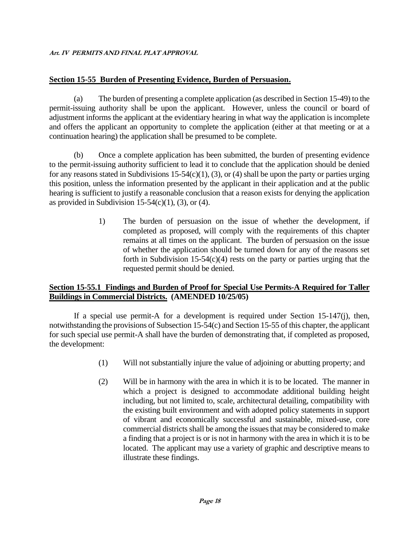## **Section 15-55 Burden of Presenting Evidence, Burden of Persuasion.**

(a) The burden of presenting a complete application (as described in Section 15-49) to the permit-issuing authority shall be upon the applicant. However, unless the council or board of adjustment informs the applicant at the evidentiary hearing in what way the application is incomplete and offers the applicant an opportunity to complete the application (either at that meeting or at a continuation hearing) the application shall be presumed to be complete.

(b) Once a complete application has been submitted, the burden of presenting evidence to the permit-issuing authority sufficient to lead it to conclude that the application should be denied for any reasons stated in Subdivisions 15-54(c)(1), (3), or (4) shall be upon the party or parties urging this position, unless the information presented by the applicant in their application and at the public hearing is sufficient to justify a reasonable conclusion that a reason exists for denying the application as provided in Subdivision 15-54(c)(1), (3), or (4).

> 1) The burden of persuasion on the issue of whether the development, if completed as proposed, will comply with the requirements of this chapter remains at all times on the applicant. The burden of persuasion on the issue of whether the application should be turned down for any of the reasons set forth in Subdivision 15-54 $(c)(4)$  rests on the party or parties urging that the requested permit should be denied.

## **Section 15-55.1 Findings and Burden of Proof for Special Use Permits-A Required for Taller Buildings in Commercial Districts. (AMENDED 10/25/05)**

If a special use permit-A for a development is required under Section 15-147(j), then, notwithstanding the provisions of Subsection 15-54(c) and Section 15-55 of this chapter, the applicant for such special use permit-A shall have the burden of demonstrating that, if completed as proposed, the development:

- (1) Will not substantially injure the value of adjoining or abutting property; and
- (2) Will be in harmony with the area in which it is to be located. The manner in which a project is designed to accommodate additional building height including, but not limited to, scale, architectural detailing, compatibility with the existing built environment and with adopted policy statements in support of vibrant and economically successful and sustainable, mixed-use, core commercial districts shall be among the issues that may be considered to make a finding that a project is or is not in harmony with the area in which it is to be located. The applicant may use a variety of graphic and descriptive means to illustrate these findings.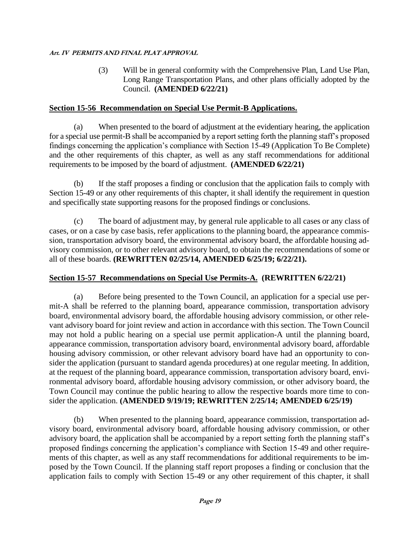(3) Will be in general conformity with the Comprehensive Plan, Land Use Plan, Long Range Transportation Plans, and other plans officially adopted by the Council. **(AMENDED 6/22/21)**

## **Section 15-56 Recommendation on Special Use Permit-B Applications.**

(a) When presented to the board of adjustment at the evidentiary hearing, the application for a special use permit-B shall be accompanied by a report setting forth the planning staff's proposed findings concerning the application's compliance with Section 15-49 (Application To Be Complete) and the other requirements of this chapter, as well as any staff recommendations for additional requirements to be imposed by the board of adjustment. **(AMENDED 6/22/21)**

(b) If the staff proposes a finding or conclusion that the application fails to comply with Section 15-49 or any other requirements of this chapter, it shall identify the requirement in question and specifically state supporting reasons for the proposed findings or conclusions.

(c) The board of adjustment may, by general rule applicable to all cases or any class of cases, or on a case by case basis, refer applications to the planning board, the appearance commission, transportation advisory board, the environmental advisory board, the affordable housing advisory commission, or to other relevant advisory board, to obtain the recommendations of some or all of these boards. **(REWRITTEN 02/25/14, AMENDED 6/25/19; 6/22/21).**

## **Section 15-57 Recommendations on Special Use Permits-A. (REWRITTEN 6/22/21)**

(a) Before being presented to the Town Council, an application for a special use permit-A shall be referred to the planning board, appearance commission, transportation advisory board, environmental advisory board, the affordable housing advisory commission, or other relevant advisory board for joint review and action in accordance with this section. The Town Council may not hold a public hearing on a special use permit application-A until the planning board, appearance commission, transportation advisory board, environmental advisory board, affordable housing advisory commission, or other relevant advisory board have had an opportunity to consider the application (pursuant to standard agenda procedures) at one regular meeting. In addition, at the request of the planning board, appearance commission, transportation advisory board, environmental advisory board, affordable housing advisory commission, or other advisory board, the Town Council may continue the public hearing to allow the respective boards more time to consider the application. **(AMENDED 9/19/19; REWRITTEN 2/25/14; AMENDED 6/25/19)**

(b) When presented to the planning board, appearance commission, transportation advisory board, environmental advisory board, affordable housing advisory commission, or other advisory board, the application shall be accompanied by a report setting forth the planning staff's proposed findings concerning the application's compliance with Section 15-49 and other requirements of this chapter, as well as any staff recommendations for additional requirements to be imposed by the Town Council. If the planning staff report proposes a finding or conclusion that the application fails to comply with Section 15-49 or any other requirement of this chapter, it shall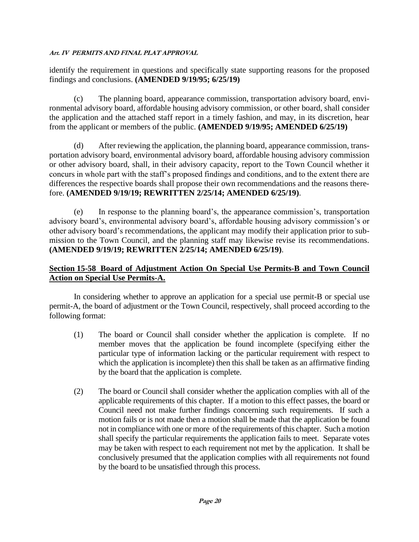identify the requirement in questions and specifically state supporting reasons for the proposed findings and conclusions. **(AMENDED 9/19/95; 6/25/19)**

(c) The planning board, appearance commission, transportation advisory board, environmental advisory board, affordable housing advisory commission, or other board, shall consider the application and the attached staff report in a timely fashion, and may, in its discretion, hear from the applicant or members of the public. **(AMENDED 9/19/95; AMENDED 6/25/19)**

(d) After reviewing the application, the planning board, appearance commission, transportation advisory board, environmental advisory board, affordable housing advisory commission or other advisory board, shall, in their advisory capacity, report to the Town Council whether it concurs in whole part with the staff's proposed findings and conditions, and to the extent there are differences the respective boards shall propose their own recommendations and the reasons therefore. **(AMENDED 9/19/19; REWRITTEN 2/25/14; AMENDED 6/25/19)**.

(e) In response to the planning board's, the appearance commission's, transportation advisory board's, environmental advisory board's, affordable housing advisory commission's or other advisory board's recommendations, the applicant may modify their application prior to submission to the Town Council, and the planning staff may likewise revise its recommendations. **(AMENDED 9/19/19; REWRITTEN 2/25/14; AMENDED 6/25/19)**.

## **Section 15-58 Board of Adjustment Action On Special Use Permits-B and Town Council Action on Special Use Permits-A.**

In considering whether to approve an application for a special use permit-B or special use permit-A, the board of adjustment or the Town Council, respectively, shall proceed according to the following format:

- (1) The board or Council shall consider whether the application is complete. If no member moves that the application be found incomplete (specifying either the particular type of information lacking or the particular requirement with respect to which the application is incomplete) then this shall be taken as an affirmative finding by the board that the application is complete.
- (2) The board or Council shall consider whether the application complies with all of the applicable requirements of this chapter. If a motion to this effect passes, the board or Council need not make further findings concerning such requirements. If such a motion fails or is not made then a motion shall be made that the application be found not in compliance with one or more of the requirements of this chapter. Such a motion shall specify the particular requirements the application fails to meet. Separate votes may be taken with respect to each requirement not met by the application. It shall be conclusively presumed that the application complies with all requirements not found by the board to be unsatisfied through this process.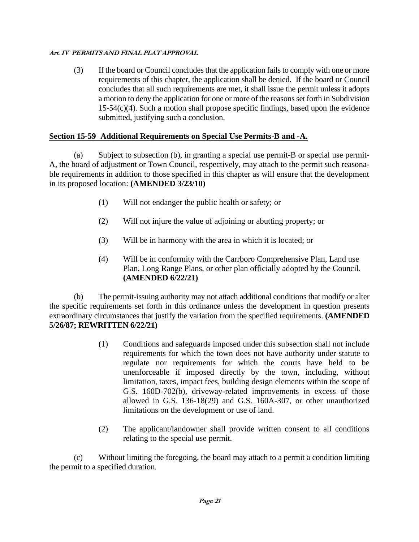(3) If the board or Council concludes that the application fails to comply with one or more requirements of this chapter, the application shall be denied. If the board or Council concludes that all such requirements are met, it shall issue the permit unless it adopts a motion to deny the application for one or more of the reasons set forth in Subdivision 15-54(c)(4). Such a motion shall propose specific findings, based upon the evidence submitted, justifying such a conclusion.

## **Section 15-59 Additional Requirements on Special Use Permits-B and -A.**

(a) Subject to subsection (b), in granting a special use permit-B or special use permit-A, the board of adjustment or Town Council, respectively, may attach to the permit such reasonable requirements in addition to those specified in this chapter as will ensure that the development in its proposed location: **(AMENDED 3/23/10)**

- (1) Will not endanger the public health or safety; or
- (2) Will not injure the value of adjoining or abutting property; or
- (3) Will be in harmony with the area in which it is located; or
- (4) Will be in conformity with the Carrboro Comprehensive Plan, Land use Plan, Long Range Plans, or other plan officially adopted by the Council. **(AMENDED 6/22/21)**

(b) The permit-issuing authority may not attach additional conditions that modify or alter the specific requirements set forth in this ordinance unless the development in question presents extraordinary circumstances that justify the variation from the specified requirements. **(AMENDED 5/26/87; REWRITTEN 6/22/21)**

- (1) Conditions and safeguards imposed under this subsection shall not include requirements for which the town does not have authority under statute to regulate nor requirements for which the courts have held to be unenforceable if imposed directly by the town, including, without limitation, taxes, impact fees, building design elements within the scope of G.S. 160D-702(b), driveway-related improvements in excess of those allowed in G.S. 136-18(29) and G.S. 160A-307, or other unauthorized limitations on the development or use of land.
- (2) The applicant/landowner shall provide written consent to all conditions relating to the special use permit.

(c) Without limiting the foregoing, the board may attach to a permit a condition limiting the permit to a specified duration.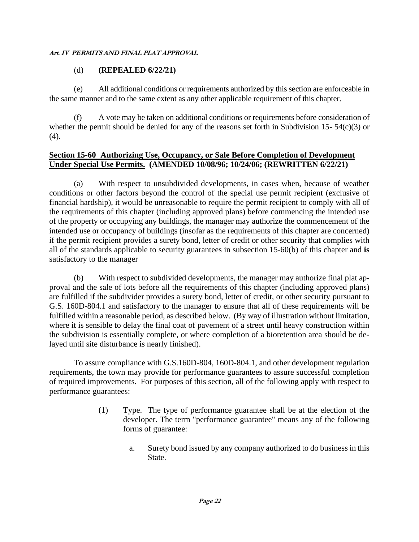## (d) **(REPEALED 6/22/21)**

(e) All additional conditions or requirements authorized by this section are enforceable in the same manner and to the same extent as any other applicable requirement of this chapter.

(f) A vote may be taken on additional conditions or requirements before consideration of whether the permit should be denied for any of the reasons set forth in Subdivision 15- 54(c)(3) or (4).

#### **Section 15-60 Authorizing Use, Occupancy, or Sale Before Completion of Development Under Special Use Permits. (AMENDED 10/08/96; 10/24/06; (REWRITTEN 6/22/21)**

(a) With respect to unsubdivided developments, in cases when, because of weather conditions or other factors beyond the control of the special use permit recipient (exclusive of financial hardship), it would be unreasonable to require the permit recipient to comply with all of the requirements of this chapter (including approved plans) before commencing the intended use of the property or occupying any buildings, the manager may authorize the commencement of the intended use or occupancy of buildings (insofar as the requirements of this chapter are concerned) if the permit recipient provides a surety bond, letter of credit or other security that complies with all of the standards applicable to security guarantees in subsection 15-60(b) of this chapter and **is**  satisfactory to the manager

(b) With respect to subdivided developments, the manager may authorize final plat approval and the sale of lots before all the requirements of this chapter (including approved plans) are fulfilled if the subdivider provides a surety bond, letter of credit, or other security pursuant to G.S. 160D-804.1 and satisfactory to the manager to ensure that all of these requirements will be fulfilled within a reasonable period, as described below. (By way of illustration without limitation, where it is sensible to delay the final coat of pavement of a street until heavy construction within the subdivision is essentially complete, or where completion of a bioretention area should be delayed until site disturbance is nearly finished).

To assure compliance with G.S.160D-804, 160D-804.1, and other development regulation requirements, the town may provide for performance guarantees to assure successful completion of required improvements. For purposes of this section, all of the following apply with respect to performance guarantees:

- (1) Type. The type of performance guarantee shall be at the election of the developer. The term "performance guarantee" means any of the following forms of guarantee:
	- a. Surety bond issued by any company authorized to do business in this State.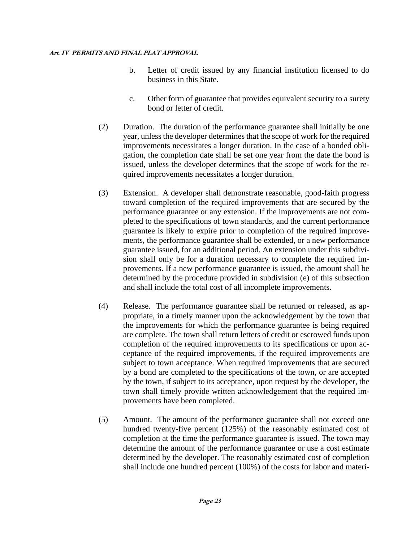- b. Letter of credit issued by any financial institution licensed to do business in this State.
- c. Other form of guarantee that provides equivalent security to a surety bond or letter of credit.
- (2) Duration. The duration of the performance guarantee shall initially be one year, unless the developer determines that the scope of work for the required improvements necessitates a longer duration. In the case of a bonded obligation, the completion date shall be set one year from the date the bond is issued, unless the developer determines that the scope of work for the required improvements necessitates a longer duration.
- (3) Extension. A developer shall demonstrate reasonable, good-faith progress toward completion of the required improvements that are secured by the performance guarantee or any extension. If the improvements are not completed to the specifications of town standards, and the current performance guarantee is likely to expire prior to completion of the required improvements, the performance guarantee shall be extended, or a new performance guarantee issued, for an additional period. An extension under this subdivision shall only be for a duration necessary to complete the required improvements. If a new performance guarantee is issued, the amount shall be determined by the procedure provided in subdivision (e) of this subsection and shall include the total cost of all incomplete improvements.
- (4) Release. The performance guarantee shall be returned or released, as appropriate, in a timely manner upon the acknowledgement by the town that the improvements for which the performance guarantee is being required are complete. The town shall return letters of credit or escrowed funds upon completion of the required improvements to its specifications or upon acceptance of the required improvements, if the required improvements are subject to town acceptance. When required improvements that are secured by a bond are completed to the specifications of the town, or are accepted by the town, if subject to its acceptance, upon request by the developer, the town shall timely provide written acknowledgement that the required improvements have been completed.
- (5) Amount. The amount of the performance guarantee shall not exceed one hundred twenty-five percent (125%) of the reasonably estimated cost of completion at the time the performance guarantee is issued. The town may determine the amount of the performance guarantee or use a cost estimate determined by the developer. The reasonably estimated cost of completion shall include one hundred percent (100%) of the costs for labor and materi-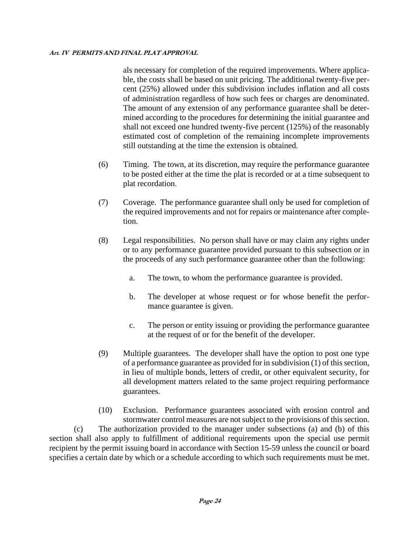als necessary for completion of the required improvements. Where applicable, the costs shall be based on unit pricing. The additional twenty-five percent (25%) allowed under this subdivision includes inflation and all costs of administration regardless of how such fees or charges are denominated. The amount of any extension of any performance guarantee shall be determined according to the procedures for determining the initial guarantee and shall not exceed one hundred twenty-five percent (125%) of the reasonably estimated cost of completion of the remaining incomplete improvements still outstanding at the time the extension is obtained.

- (6) Timing. The town, at its discretion, may require the performance guarantee to be posted either at the time the plat is recorded or at a time subsequent to plat recordation.
- (7) Coverage. The performance guarantee shall only be used for completion of the required improvements and not for repairs or maintenance after completion.
- (8) Legal responsibilities. No person shall have or may claim any rights under or to any performance guarantee provided pursuant to this subsection or in the proceeds of any such performance guarantee other than the following:
	- a. The town, to whom the performance guarantee is provided.
	- b. The developer at whose request or for whose benefit the performance guarantee is given.
	- c. The person or entity issuing or providing the performance guarantee at the request of or for the benefit of the developer.
- (9) Multiple guarantees. The developer shall have the option to post one type of a performance guarantee as provided for in subdivision (1) of this section, in lieu of multiple bonds, letters of credit, or other equivalent security, for all development matters related to the same project requiring performance guarantees.

(10) Exclusion. Performance guarantees associated with erosion control and stormwater control measures are not subject to the provisions of this section. (c) The authorization provided to the manager under subsections (a) and (b) of this section shall also apply to fulfillment of additional requirements upon the special use permit recipient by the permit issuing board in accordance with Section 15-59 unless the council or board specifies a certain date by which or a schedule according to which such requirements must be met.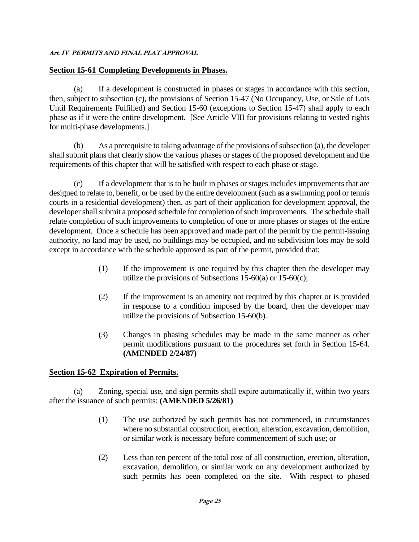#### **Section 15-61 Completing Developments in Phases.**

(a) If a development is constructed in phases or stages in accordance with this section, then, subject to subsection (c), the provisions of Section 15-47 (No Occupancy, Use, or Sale of Lots Until Requirements Fulfilled) and Section 15-60 (exceptions to Section 15-47) shall apply to each phase as if it were the entire development. [See Article VIII for provisions relating to vested rights for multi-phase developments.]

(b) As a prerequisite to taking advantage of the provisions of subsection (a), the developer shall submit plans that clearly show the various phases or stages of the proposed development and the requirements of this chapter that will be satisfied with respect to each phase or stage.

(c) If a development that is to be built in phases or stages includes improvements that are designed to relate to, benefit, or be used by the entire development (such as a swimming pool or tennis courts in a residential development) then, as part of their application for development approval, the developer shall submit a proposed schedule for completion of such improvements. The schedule shall relate completion of such improvements to completion of one or more phases or stages of the entire development. Once a schedule has been approved and made part of the permit by the permit-issuing authority, no land may be used, no buildings may be occupied, and no subdivision lots may be sold except in accordance with the schedule approved as part of the permit, provided that:

- (1) If the improvement is one required by this chapter then the developer may utilize the provisions of Subsections 15-60(a) or 15-60(c);
- (2) If the improvement is an amenity not required by this chapter or is provided in response to a condition imposed by the board, then the developer may utilize the provisions of Subsection 15-60(b).
- (3) Changes in phasing schedules may be made in the same manner as other permit modifications pursuant to the procedures set forth in Section 15-64. **(AMENDED 2/24/87)**

## **Section 15-62 Expiration of Permits.**

(a) Zoning, special use, and sign permits shall expire automatically if, within two years after the issuance of such permits: **(AMENDED 5/26/81)**

- (1) The use authorized by such permits has not commenced, in circumstances where no substantial construction, erection, alteration, excavation, demolition, or similar work is necessary before commencement of such use; or
- (2) Less than ten percent of the total cost of all construction, erection, alteration, excavation, demolition, or similar work on any development authorized by such permits has been completed on the site. With respect to phased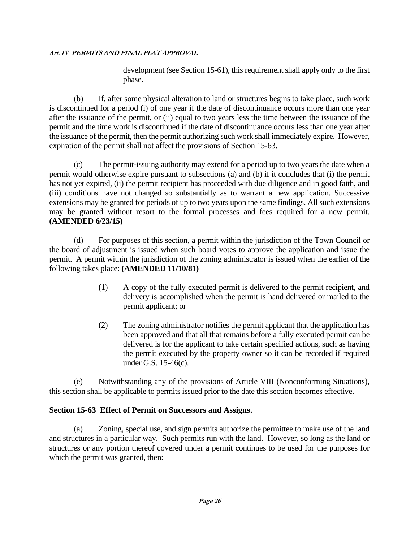development (see Section 15-61), this requirement shall apply only to the first phase.

(b) If, after some physical alteration to land or structures begins to take place, such work is discontinued for a period (i) of one year if the date of discontinuance occurs more than one year after the issuance of the permit, or (ii) equal to two years less the time between the issuance of the permit and the time work is discontinued if the date of discontinuance occurs less than one year after the issuance of the permit, then the permit authorizing such work shall immediately expire. However, expiration of the permit shall not affect the provisions of Section 15-63.

(c) The permit-issuing authority may extend for a period up to two years the date when a permit would otherwise expire pursuant to subsections (a) and (b) if it concludes that (i) the permit has not yet expired, (ii) the permit recipient has proceeded with due diligence and in good faith, and (iii) conditions have not changed so substantially as to warrant a new application. Successive extensions may be granted for periods of up to two years upon the same findings. All such extensions may be granted without resort to the formal processes and fees required for a new permit. **(AMENDED 6/23/15)**

(d) For purposes of this section, a permit within the jurisdiction of the Town Council or the board of adjustment is issued when such board votes to approve the application and issue the permit. A permit within the jurisdiction of the zoning administrator is issued when the earlier of the following takes place: **(AMENDED 11/10/81)**

- (1) A copy of the fully executed permit is delivered to the permit recipient, and delivery is accomplished when the permit is hand delivered or mailed to the permit applicant; or
- (2) The zoning administrator notifies the permit applicant that the application has been approved and that all that remains before a fully executed permit can be delivered is for the applicant to take certain specified actions, such as having the permit executed by the property owner so it can be recorded if required under G.S. 15-46(c).

(e) Notwithstanding any of the provisions of Article VIII (Nonconforming Situations), this section shall be applicable to permits issued prior to the date this section becomes effective.

## **Section 15-63 Effect of Permit on Successors and Assigns.**

(a) Zoning, special use, and sign permits authorize the permittee to make use of the land and structures in a particular way. Such permits run with the land. However, so long as the land or structures or any portion thereof covered under a permit continues to be used for the purposes for which the permit was granted, then: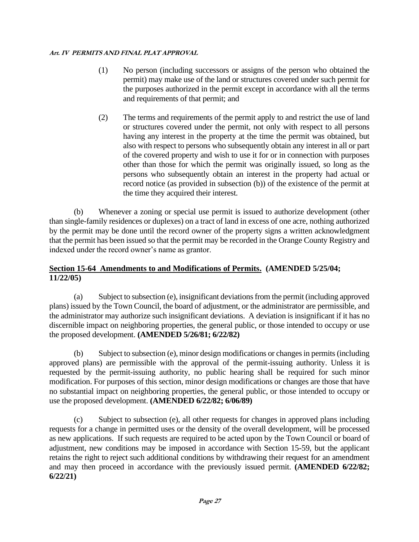- (1) No person (including successors or assigns of the person who obtained the permit) may make use of the land or structures covered under such permit for the purposes authorized in the permit except in accordance with all the terms and requirements of that permit; and
- (2) The terms and requirements of the permit apply to and restrict the use of land or structures covered under the permit, not only with respect to all persons having any interest in the property at the time the permit was obtained, but also with respect to persons who subsequently obtain any interest in all or part of the covered property and wish to use it for or in connection with purposes other than those for which the permit was originally issued, so long as the persons who subsequently obtain an interest in the property had actual or record notice (as provided in subsection (b)) of the existence of the permit at the time they acquired their interest.

(b) Whenever a zoning or special use permit is issued to authorize development (other than single-family residences or duplexes) on a tract of land in excess of one acre, nothing authorized by the permit may be done until the record owner of the property signs a written acknowledgment that the permit has been issued so that the permit may be recorded in the Orange County Registry and indexed under the record owner's name as grantor.

## **Section 15-64 Amendments to and Modifications of Permits. (AMENDED 5/25/04; 11/22/05)**

(a) Subject to subsection (e), insignificant deviations from the permit (including approved plans) issued by the Town Council, the board of adjustment, or the administrator are permissible, and the administrator may authorize such insignificant deviations. A deviation is insignificant if it has no discernible impact on neighboring properties, the general public, or those intended to occupy or use the proposed development. **(AMENDED 5/26/81; 6/22/82)**

(b) Subject to subsection (e), minor design modifications or changes in permits (including approved plans) are permissible with the approval of the permit-issuing authority. Unless it is requested by the permit-issuing authority, no public hearing shall be required for such minor modification. For purposes of this section, minor design modifications or changes are those that have no substantial impact on neighboring properties, the general public, or those intended to occupy or use the proposed development. **(AMENDED 6/22/82; 6/06/89)**

(c) Subject to subsection (e), all other requests for changes in approved plans including requests for a change in permitted uses or the density of the overall development, will be processed as new applications. If such requests are required to be acted upon by the Town Council or board of adjustment, new conditions may be imposed in accordance with Section 15-59, but the applicant retains the right to reject such additional conditions by withdrawing their request for an amendment and may then proceed in accordance with the previously issued permit. **(AMENDED 6/22/82; 6/22/21)**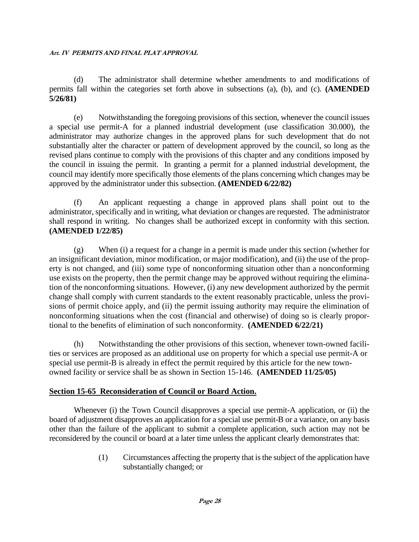(d) The administrator shall determine whether amendments to and modifications of permits fall within the categories set forth above in subsections (a), (b), and (c). **(AMENDED 5/26/81)**

(e) Notwithstanding the foregoing provisions of this section, whenever the council issues a special use permit-A for a planned industrial development (use classification 30.000), the administrator may authorize changes in the approved plans for such development that do not substantially alter the character or pattern of development approved by the council, so long as the revised plans continue to comply with the provisions of this chapter and any conditions imposed by the council in issuing the permit. In granting a permit for a planned industrial development, the council may identify more specifically those elements of the plans concerning which changes may be approved by the administrator under this subsection. **(AMENDED 6/22/82)**

(f) An applicant requesting a change in approved plans shall point out to the administrator, specifically and in writing, what deviation or changes are requested. The administrator shall respond in writing. No changes shall be authorized except in conformity with this section. **(AMENDED 1/22/85)**

(g) When (i) a request for a change in a permit is made under this section (whether for an insignificant deviation, minor modification, or major modification), and (ii) the use of the property is not changed, and (iii) some type of nonconforming situation other than a nonconforming use exists on the property, then the permit change may be approved without requiring the elimination of the nonconforming situations. However, (i) any new development authorized by the permit change shall comply with current standards to the extent reasonably practicable, unless the provisions of permit choice apply, and (ii) the permit issuing authority may require the elimination of nonconforming situations when the cost (financial and otherwise) of doing so is clearly proportional to the benefits of elimination of such nonconformity. **(AMENDED 6/22/21)**

(h) Notwithstanding the other provisions of this section, whenever town-owned facilities or services are proposed as an additional use on property for which a special use permit-A or special use permit-B is already in effect the permit required by this article for the new townowned facility or service shall be as shown in Section 15-146. **(AMENDED 11/25/05)**

## **Section 15-65 Reconsideration of Council or Board Action.**

Whenever (i) the Town Council disapproves a special use permit-A application, or (ii) the board of adjustment disapproves an application for a special use permit-B or a variance, on any basis other than the failure of the applicant to submit a complete application, such action may not be reconsidered by the council or board at a later time unless the applicant clearly demonstrates that:

> (1) Circumstances affecting the property that is the subject of the application have substantially changed; or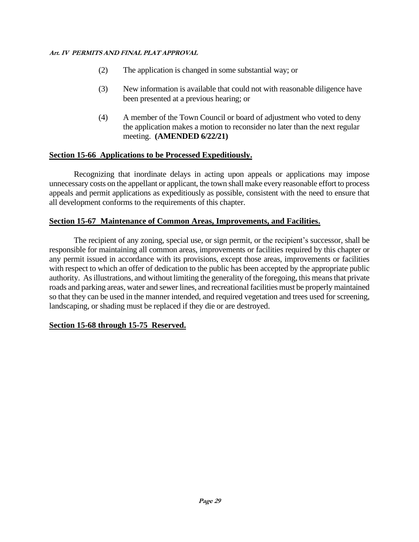- (2) The application is changed in some substantial way; or
- (3) New information is available that could not with reasonable diligence have been presented at a previous hearing; or
- (4) A member of the Town Council or board of adjustment who voted to deny the application makes a motion to reconsider no later than the next regular meeting. **(AMENDED 6/22/21)**

## **Section 15-66 Applications to be Processed Expeditiously.**

Recognizing that inordinate delays in acting upon appeals or applications may impose unnecessary costs on the appellant or applicant, the town shall make every reasonable effort to process appeals and permit applications as expeditiously as possible, consistent with the need to ensure that all development conforms to the requirements of this chapter.

## **Section 15-67 Maintenance of Common Areas, Improvements, and Facilities.**

The recipient of any zoning, special use, or sign permit, or the recipient's successor, shall be responsible for maintaining all common areas, improvements or facilities required by this chapter or any permit issued in accordance with its provisions, except those areas, improvements or facilities with respect to which an offer of dedication to the public has been accepted by the appropriate public authority. As illustrations, and without limiting the generality of the foregoing, this means that private roads and parking areas, water and sewer lines, and recreational facilities must be properly maintained so that they can be used in the manner intended, and required vegetation and trees used for screening, landscaping, or shading must be replaced if they die or are destroyed.

## **Section 15-68 through 15-75 Reserved.**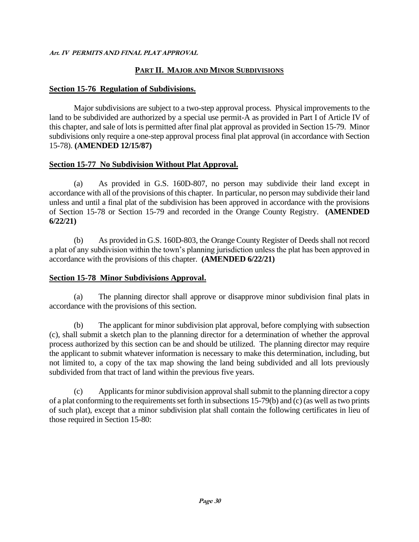## **PART II. MAJOR AND MINOR SUBDIVISIONS**

#### **Section 15-76 Regulation of Subdivisions.**

Major subdivisions are subject to a two-step approval process. Physical improvements to the land to be subdivided are authorized by a special use permit-A as provided in Part I of Article IV of this chapter, and sale of lots is permitted after final plat approval as provided in Section 15-79. Minor subdivisions only require a one-step approval process final plat approval (in accordance with Section 15-78). **(AMENDED 12/15/87)**

#### **Section 15-77 No Subdivision Without Plat Approval.**

(a) As provided in G.S. 160D-807, no person may subdivide their land except in accordance with all of the provisions of this chapter. In particular, no person may subdivide their land unless and until a final plat of the subdivision has been approved in accordance with the provisions of Section 15-78 or Section 15-79 and recorded in the Orange County Registry. **(AMENDED 6/22/21)**

(b) As provided in G.S. 160D-803, the Orange County Register of Deeds shall not record a plat of any subdivision within the town's planning jurisdiction unless the plat has been approved in accordance with the provisions of this chapter. **(AMENDED 6/22/21)**

#### **Section 15-78 Minor Subdivisions Approval.**

(a) The planning director shall approve or disapprove minor subdivision final plats in accordance with the provisions of this section.

(b) The applicant for minor subdivision plat approval, before complying with subsection (c), shall submit a sketch plan to the planning director for a determination of whether the approval process authorized by this section can be and should be utilized. The planning director may require the applicant to submit whatever information is necessary to make this determination, including, but not limited to, a copy of the tax map showing the land being subdivided and all lots previously subdivided from that tract of land within the previous five years.

(c) Applicants for minor subdivision approval shall submit to the planning director a copy of a plat conforming to the requirements set forth in subsections 15-79(b) and (c) (as well as two prints of such plat), except that a minor subdivision plat shall contain the following certificates in lieu of those required in Section 15-80: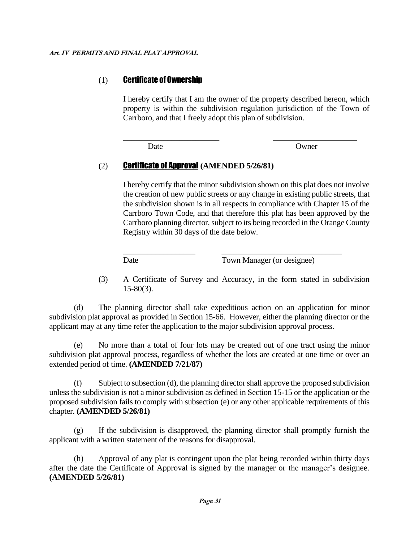## (1) Certificate of Ownership

I hereby certify that I am the owner of the property described hereon, which property is within the subdivision regulation jurisdiction of the Town of Carrboro, and that I freely adopt this plan of subdivision.

\_\_\_\_\_\_\_\_\_\_\_\_\_\_\_\_\_\_\_\_\_\_\_\_ \_\_\_\_\_\_\_\_\_\_\_\_\_\_\_\_\_\_\_\_\_

Date Owner

## (2) Certificate of Approval **(AMENDED 5/26/81)**

I hereby certify that the minor subdivision shown on this plat does not involve the creation of new public streets or any change in existing public streets, that the subdivision shown is in all respects in compliance with Chapter 15 of the Carrboro Town Code, and that therefore this plat has been approved by the Carrboro planning director, subject to its being recorded in the Orange County Registry within 30 days of the date below.

\_\_\_\_\_\_\_\_\_\_\_\_\_\_\_\_\_\_ \_\_\_\_\_\_\_\_\_\_\_\_\_\_\_\_\_\_\_\_\_\_\_\_\_\_\_\_\_\_ Date Town Manager (or designee)

(3) A Certificate of Survey and Accuracy, in the form stated in subdivision  $15-80(3)$ .

(d) The planning director shall take expeditious action on an application for minor subdivision plat approval as provided in Section 15-66. However, either the planning director or the applicant may at any time refer the application to the major subdivision approval process.

(e) No more than a total of four lots may be created out of one tract using the minor subdivision plat approval process, regardless of whether the lots are created at one time or over an extended period of time. **(AMENDED 7/21/87)**

(f) Subject to subsection (d), the planning director shall approve the proposed subdivision unless the subdivision is not a minor subdivision as defined in Section 15-15 or the application or the proposed subdivision fails to comply with subsection (e) or any other applicable requirements of this chapter. **(AMENDED 5/26/81)**

(g) If the subdivision is disapproved, the planning director shall promptly furnish the applicant with a written statement of the reasons for disapproval.

(h) Approval of any plat is contingent upon the plat being recorded within thirty days after the date the Certificate of Approval is signed by the manager or the manager's designee. **(AMENDED 5/26/81)**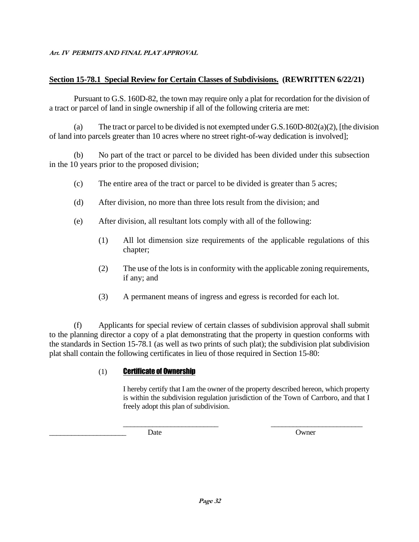## **Section 15-78.1 Special Review for Certain Classes of Subdivisions. (REWRITTEN 6/22/21)**

Pursuant to G.S. 160D-82, the town may require only a plat for recordation for the division of a tract or parcel of land in single ownership if all of the following criteria are met:

(a) The tract or parcel to be divided is not exempted under  $G.S.160D-802(a)(2)$ , [the division of land into parcels greater than 10 acres where no street right-of-way dedication is involved];

(b) No part of the tract or parcel to be divided has been divided under this subsection in the 10 years prior to the proposed division;

- (c) The entire area of the tract or parcel to be divided is greater than 5 acres;
- (d) After division, no more than three lots result from the division; and
- (e) After division, all resultant lots comply with all of the following:
	- (1) All lot dimension size requirements of the applicable regulations of this chapter;
	- (2) The use of the lots is in conformity with the applicable zoning requirements, if any; and
	- (3) A permanent means of ingress and egress is recorded for each lot.

(f) Applicants for special review of certain classes of subdivision approval shall submit to the planning director a copy of a plat demonstrating that the property in question conforms with the standards in Section 15-78.1 (as well as two prints of such plat); the subdivision plat subdivision plat shall contain the following certificates in lieu of those required in Section 15-80:

#### (1) Certificate of Ownership

I hereby certify that I am the owner of the property described hereon, which property is within the subdivision regulation jurisdiction of the Town of Carrboro, and that I freely adopt this plan of subdivision.

\_\_\_\_\_\_\_\_\_\_\_\_\_\_\_\_\_\_\_\_\_\_\_\_\_\_ \_\_\_\_\_\_\_\_\_\_\_\_\_\_\_\_\_\_\_\_\_\_\_\_\_

\_\_\_\_\_\_\_\_\_\_\_\_\_\_\_\_\_\_\_\_\_ Date Owner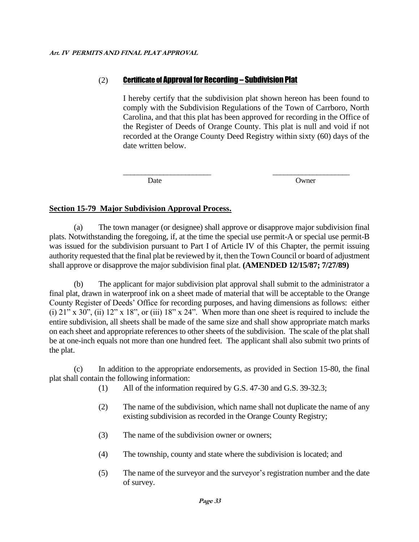## (2) Certificate of Approval for Recording – Subdivision Plat

I hereby certify that the subdivision plat shown hereon has been found to comply with the Subdivision Regulations of the Town of Carrboro, North Carolina, and that this plat has been approved for recording in the Office of the Register of Deeds of Orange County. This plat is null and void if not recorded at the Orange County Deed Registry within sixty (60) days of the date written below.

\_\_\_\_\_\_\_\_\_\_\_\_\_\_\_\_\_\_\_\_\_\_\_\_ \_\_\_\_\_\_\_\_\_\_\_\_\_\_\_\_\_\_\_\_\_

Date **Owner** 

## **Section 15-79 Major Subdivision Approval Process.**

(a) The town manager (or designee) shall approve or disapprove major subdivision final plats. Notwithstanding the foregoing, if, at the time the special use permit-A or special use permit-B was issued for the subdivision pursuant to Part I of Article IV of this Chapter, the permit issuing authority requested that the final plat be reviewed by it, then the Town Council or board of adjustment shall approve or disapprove the major subdivision final plat. **(AMENDED 12/15/87; 7/27/89)**

(b) The applicant for major subdivision plat approval shall submit to the administrator a final plat, drawn in waterproof ink on a sheet made of material that will be acceptable to the Orange County Register of Deeds' Office for recording purposes, and having dimensions as follows: either (i)  $21$ " x  $30$ ", (ii)  $12$ " x  $18$ ", or (iii)  $18$ " x  $24$ ". When more than one sheet is required to include the entire subdivision, all sheets shall be made of the same size and shall show appropriate match marks on each sheet and appropriate references to other sheets of the subdivision. The scale of the plat shall be at one-inch equals not more than one hundred feet. The applicant shall also submit two prints of the plat.

(c) In addition to the appropriate endorsements, as provided in Section 15-80, the final plat shall contain the following information:

- (1) All of the information required by G.S. 47-30 and G.S. 39-32.3;
- (2) The name of the subdivision, which name shall not duplicate the name of any existing subdivision as recorded in the Orange County Registry;
- (3) The name of the subdivision owner or owners;
- (4) The township, county and state where the subdivision is located; and
- (5) The name of the surveyor and the surveyor's registration number and the date of survey.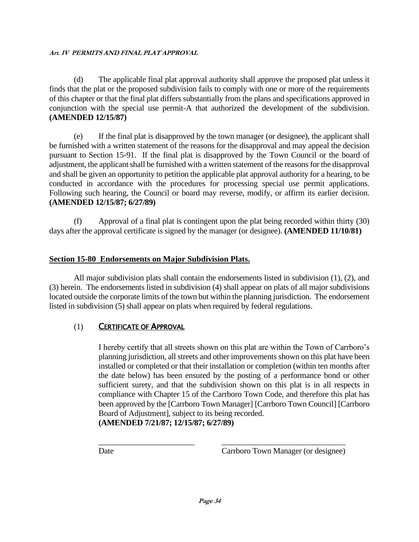(d) The applicable final plat approval authority shall approve the proposed plat unless it finds that the plat or the proposed subdivision fails to comply with one or more of the requirements of this chapter or that the final plat differs substantially from the plans and specifications approved in conjunction with the special use permit-A that authorized the development of the subdivision. **(AMENDED 12/15/87)**

(e) If the final plat is disapproved by the town manager (or designee), the applicant shall be furnished with a written statement of the reasons for the disapproval and may appeal the decision pursuant to Section 15-91. If the final plat is disapproved by the Town Council or the board of adjustment, the applicant shall be furnished with a written statement of the reasons for the disapproval and shall be given an opportunity to petition the applicable plat approval authority for a hearing, to be conducted in accordance with the procedures for processing special use permit applications. Following such hearing, the Council or board may reverse, modify, or affirm its earlier decision. **(AMENDED 12/15/87; 6/27/89)**

(f) Approval of a final plat is contingent upon the plat being recorded within thirty (30) days after the approval certificate is signed by the manager (or designee). **(AMENDED 11/10/81)**

## **Section 15-80 Endorsements on Major Subdivision Plats.**

All major subdivision plats shall contain the endorsements listed in subdivision (1), (2), and (3) herein. The endorsements listed in subdivision (4) shall appear on plats of all major subdivisions located outside the corporate limits of the town but within the planning jurisdiction. The endorsement listed in subdivision (5) shall appear on plats when required by federal regulations.

## (1) CERTIFICATE OF APPROVAL

I hereby certify that all streets shown on this plat are within the Town of Carrboro's planning jurisdiction, all streets and other improvements shown on this plat have been installed or completed or that their installation or completion (within ten months after the date below) has been ensured by the posting of a performance bond or other sufficient surety, and that the subdivision shown on this plat is in all respects in compliance with Chapter 15 of the Carrboro Town Code, and therefore this plat has been approved by the [Carrboro Town Manager] [Carrboro Town Council] [Carrboro Board of Adjustment], subject to its being recorded.

**(AMENDED 7/21/87; 12/15/87; 6/27/89)**

\_\_\_\_\_\_\_\_\_\_\_\_\_\_\_\_\_\_\_\_\_\_\_\_ \_\_\_\_\_\_\_\_\_\_\_\_\_\_\_\_\_\_\_\_\_\_\_\_\_\_\_\_\_\_\_

Date Carrboro Town Manager (or designee)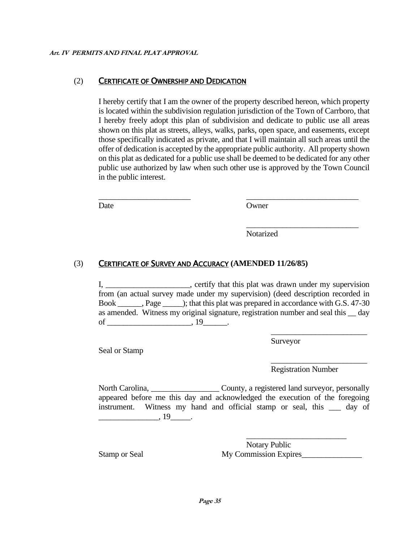#### (2) CERTIFICATE OF OWNERSHIP AND DEDICATION

I hereby certify that I am the owner of the property described hereon, which property is located within the subdivision regulation jurisdiction of the Town of Carrboro, that I hereby freely adopt this plan of subdivision and dedicate to public use all areas shown on this plat as streets, alleys, walks, parks, open space, and easements, except those specifically indicated as private, and that I will maintain all such areas until the offer of dedication is accepted by the appropriate public authority. All property shown on this plat as dedicated for a public use shall be deemed to be dedicated for any other public use authorized by law when such other use is approved by the Town Council in the public interest.

\_\_\_\_\_\_\_\_\_\_\_\_\_\_\_\_\_\_\_\_\_\_\_ \_\_\_\_\_\_\_\_\_\_\_\_\_\_\_\_\_\_\_\_\_\_\_\_\_\_\_\_

Date Owner

Notarized

#### (3) CERTIFICATE OF SURVEY AND ACCURACY **(AMENDED 11/26/85)**

I, \_\_\_\_\_\_\_\_\_\_\_\_\_\_\_\_\_\_\_, certify that this plat was drawn under my supervision from (an actual survey made under my supervision) (deed description recorded in Book \_\_\_\_\_\_, Page \_\_\_\_\_); that this plat was prepared in accordance with G.S. 47-30 as amended. Witness my original signature, registration number and seal this \_\_ day of  $\_\_\_\_\_\.\, 19\_\_\_\.\,$ 

Surveyor

Registration Number

\_\_\_\_\_\_\_\_\_\_\_\_\_\_\_\_\_\_\_\_\_\_\_\_

\_\_\_\_\_\_\_\_\_\_\_\_\_\_\_\_\_\_\_\_\_\_\_\_

\_\_\_\_\_\_\_\_\_\_\_\_\_\_\_\_\_\_\_\_\_\_\_\_\_\_\_\_

North Carolina, \_\_\_\_\_\_\_\_\_\_\_\_\_\_\_\_\_\_\_\_\_\_\_County, a registered land surveyor, personally appeared before me this day and acknowledged the execution of the foregoing instrument. Witness my hand and official stamp or seal, this day of  $\frac{19}{19}$ .

Seal or Stamp

Notary Public Stamp or Seal My Commission Expires\_\_\_\_\_\_\_\_\_\_\_\_\_\_\_

\_\_\_\_\_\_\_\_\_\_\_\_\_\_\_\_\_\_\_\_\_\_\_\_\_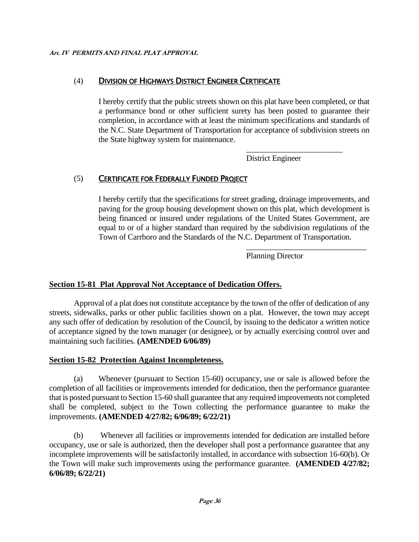## (4) DIVISION OF HIGHWAYS DISTRICT ENGINEER CERTIFICATE

I hereby certify that the public streets shown on this plat have been completed, or that a performance bond or other sufficient surety has been posted to guarantee their completion, in accordance with at least the minimum specifications and standards of the N.C. State Department of Transportation for acceptance of subdivision streets on the State highway system for maintenance.

District Engineer

\_\_\_\_\_\_\_\_\_\_\_\_\_\_\_\_\_\_\_\_\_\_\_\_

\_\_\_\_\_\_\_\_\_\_\_\_\_\_\_\_\_\_\_\_\_\_\_\_\_\_\_\_\_\_

## (5) CERTIFICATE FOR FEDERALLY FUNDED PROJECT

I hereby certify that the specifications for street grading, drainage improvements, and paving for the group housing development shown on this plat, which development is being financed or insured under regulations of the United States Government, are equal to or of a higher standard than required by the subdivision regulations of the Town of Carrboro and the Standards of the N.C. Department of Transportation.

Planning Director

## **Section 15-81 Plat Approval Not Acceptance of Dedication Offers.**

Approval of a plat does not constitute acceptance by the town of the offer of dedication of any streets, sidewalks, parks or other public facilities shown on a plat. However, the town may accept any such offer of dedication by resolution of the Council, by issuing to the dedicator a written notice of acceptance signed by the town manager (or designee), or by actually exercising control over and maintaining such facilities. **(AMENDED 6/06/89)**

## **Section 15-82 Protection Against Incompleteness.**

(a) Whenever (pursuant to Section 15-60) occupancy, use or sale is allowed before the completion of all facilities or improvements intended for dedication, then the performance guarantee that is posted pursuant to Section 15-60 shall guarantee that any required improvements not completed shall be completed, subject to the Town collecting the performance guarantee to make the improvements. **(AMENDED 4/27/82; 6/06/89; 6/22/21)**

(b) Whenever all facilities or improvements intended for dedication are installed before occupancy, use or sale is authorized, then the developer shall post a performance guarantee that any incomplete improvements will be satisfactorily installed, in accordance with subsection 16-60(b). Or the Town will make such improvements using the performance guarantee. **(AMENDED 4/27/82; 6/06/89; 6/22/21)**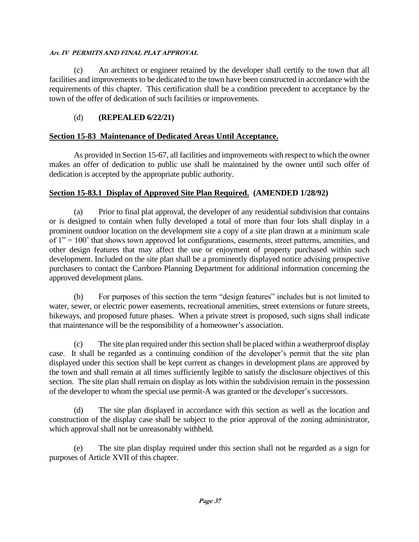(c) An architect or engineer retained by the developer shall certify to the town that all facilities and improvements to be dedicated to the town have been constructed in accordance with the requirements of this chapter. This certification shall be a condition precedent to acceptance by the town of the offer of dedication of such facilities or improvements.

## (d) **(REPEALED 6/22/21)**

#### **Section 15-83 Maintenance of Dedicated Areas Until Acceptance.**

As provided in Section 15-67, all facilities and improvements with respect to which the owner makes an offer of dedication to public use shall be maintained by the owner until such offer of dedication is accepted by the appropriate public authority.

## **Section 15-83.1 Display of Approved Site Plan Required. (AMENDED 1/28/92)**

(a) Prior to final plat approval, the developer of any residential subdivision that contains or is designed to contain when fully developed a total of more than four lots shall display in a prominent outdoor location on the development site a copy of a site plan drawn at a minimum scale of  $1" = 100"$  that shows town approved lot configurations, easements, street patterns, amenities, and other design features that may affect the use or enjoyment of property purchased within such development. Included on the site plan shall be a prominently displayed notice advising prospective purchasers to contact the Carrboro Planning Department for additional information concerning the approved development plans.

(b) For purposes of this section the term "design features" includes but is not limited to water, sewer, or electric power easements, recreational amenities, street extensions or future streets, bikeways, and proposed future phases. When a private street is proposed, such signs shall indicate that maintenance will be the responsibility of a homeowner's association.

(c) The site plan required under this section shall be placed within a weatherproof display case. It shall be regarded as a continuing condition of the developer's permit that the site plan displayed under this section shall be kept current as changes in development plans are approved by the town and shall remain at all times sufficiently legible to satisfy the disclosure objectives of this section. The site plan shall remain on display as lots within the subdivision remain in the possession of the developer to whom the special use permit-A was granted or the developer's successors.

(d) The site plan displayed in accordance with this section as well as the location and construction of the display case shall be subject to the prior approval of the zoning administrator, which approval shall not be unreasonably withheld.

(e) The site plan display required under this section shall not be regarded as a sign for purposes of Article XVII of this chapter.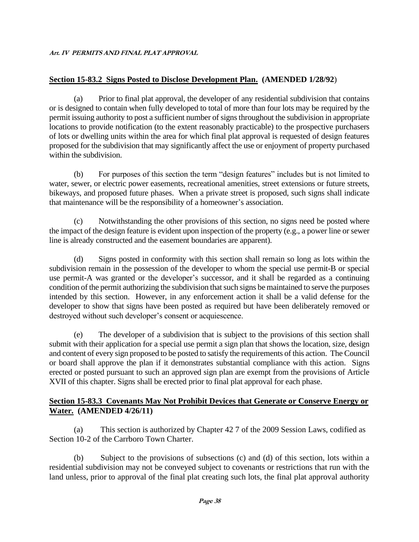## **Section 15-83.2 Signs Posted to Disclose Development Plan. (AMENDED 1/28/92**)

(a) Prior to final plat approval, the developer of any residential subdivision that contains or is designed to contain when fully developed to total of more than four lots may be required by the permit issuing authority to post a sufficient number of signs throughout the subdivision in appropriate locations to provide notification (to the extent reasonably practicable) to the prospective purchasers of lots or dwelling units within the area for which final plat approval is requested of design features proposed for the subdivision that may significantly affect the use or enjoyment of property purchased within the subdivision.

(b) For purposes of this section the term "design features" includes but is not limited to water, sewer, or electric power easements, recreational amenities, street extensions or future streets, bikeways, and proposed future phases. When a private street is proposed, such signs shall indicate that maintenance will be the responsibility of a homeowner's association.

(c) Notwithstanding the other provisions of this section, no signs need be posted where the impact of the design feature is evident upon inspection of the property (e.g., a power line or sewer line is already constructed and the easement boundaries are apparent).

(d) Signs posted in conformity with this section shall remain so long as lots within the subdivision remain in the possession of the developer to whom the special use permit-B or special use permit-A was granted or the developer's successor, and it shall be regarded as a continuing condition of the permit authorizing the subdivision that such signs be maintained to serve the purposes intended by this section. However, in any enforcement action it shall be a valid defense for the developer to show that signs have been posted as required but have been deliberately removed or destroyed without such developer's consent or acquiescence.

(e) The developer of a subdivision that is subject to the provisions of this section shall submit with their application for a special use permit a sign plan that shows the location, size, design and content of every sign proposed to be posted to satisfy the requirements of this action. The Council or board shall approve the plan if it demonstrates substantial compliance with this action. Signs erected or posted pursuant to such an approved sign plan are exempt from the provisions of Article XVII of this chapter. Signs shall be erected prior to final plat approval for each phase.

## **Section 15-83.3 Covenants May Not Prohibit Devices that Generate or Conserve Energy or Water. (AMENDED 4/26/11)**

(a) This section is authorized by Chapter 42 7 of the 2009 Session Laws, codified as Section 10-2 of the Carrboro Town Charter.

(b) Subject to the provisions of subsections (c) and (d) of this section, lots within a residential subdivision may not be conveyed subject to covenants or restrictions that run with the land unless, prior to approval of the final plat creating such lots, the final plat approval authority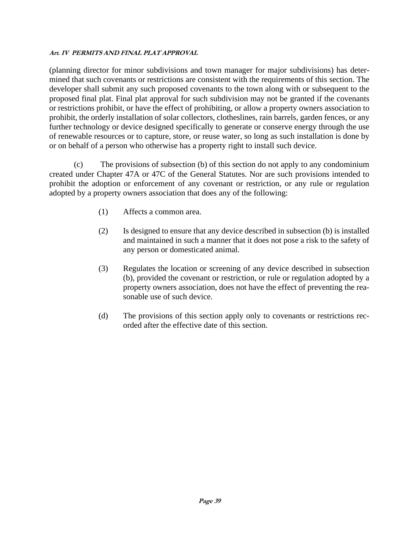(planning director for minor subdivisions and town manager for major subdivisions) has determined that such covenants or restrictions are consistent with the requirements of this section. The developer shall submit any such proposed covenants to the town along with or subsequent to the proposed final plat. Final plat approval for such subdivision may not be granted if the covenants or restrictions prohibit, or have the effect of prohibiting, or allow a property owners association to prohibit, the orderly installation of solar collectors, clotheslines, rain barrels, garden fences, or any further technology or device designed specifically to generate or conserve energy through the use of renewable resources or to capture, store, or reuse water, so long as such installation is done by or on behalf of a person who otherwise has a property right to install such device.

(c) The provisions of subsection (b) of this section do not apply to any condominium created under Chapter 47A or 47C of the General Statutes. Nor are such provisions intended to prohibit the adoption or enforcement of any covenant or restriction, or any rule or regulation adopted by a property owners association that does any of the following:

- (1) Affects a common area.
- (2) Is designed to ensure that any device described in subsection (b) is installed and maintained in such a manner that it does not pose a risk to the safety of any person or domesticated animal.
- (3) Regulates the location or screening of any device described in subsection (b), provided the covenant or restriction, or rule or regulation adopted by a property owners association, does not have the effect of preventing the reasonable use of such device.
- (d) The provisions of this section apply only to covenants or restrictions recorded after the effective date of this section.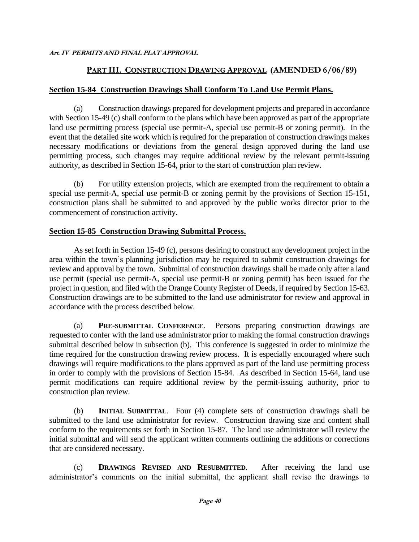## **PART III. CONSTRUCTION DRAWING APPROVAL (AMENDED 6/06/89)**

## **Section 15-84 Construction Drawings Shall Conform To Land Use Permit Plans.**

(a) Construction drawings prepared for development projects and prepared in accordance with Section 15-49 (c) shall conform to the plans which have been approved as part of the appropriate land use permitting process (special use permit-A, special use permit-B or zoning permit). In the event that the detailed site work which is required for the preparation of construction drawings makes necessary modifications or deviations from the general design approved during the land use permitting process, such changes may require additional review by the relevant permit-issuing authority, as described in Section 15-64, prior to the start of construction plan review.

(b) For utility extension projects, which are exempted from the requirement to obtain a special use permit-A, special use permit-B or zoning permit by the provisions of Section 15-151, construction plans shall be submitted to and approved by the public works director prior to the commencement of construction activity.

## **Section 15-85 Construction Drawing Submittal Process.**

As set forth in Section 15-49 (c), persons desiring to construct any development project in the area within the town's planning jurisdiction may be required to submit construction drawings for review and approval by the town. Submittal of construction drawings shall be made only after a land use permit (special use permit-A, special use permit-B or zoning permit) has been issued for the project in question, and filed with the Orange County Register of Deeds, if required by Section 15-63. Construction drawings are to be submitted to the land use administrator for review and approval in accordance with the process described below.

(a) **PRE-SUBMITTAL CONFERENCE**. Persons preparing construction drawings are requested to confer with the land use administrator prior to making the formal construction drawings submittal described below in subsection (b). This conference is suggested in order to minimize the time required for the construction drawing review process. It is especially encouraged where such drawings will require modifications to the plans approved as part of the land use permitting process in order to comply with the provisions of Section 15-84. As described in Section 15-64, land use permit modifications can require additional review by the permit-issuing authority, prior to construction plan review.

(b) **INITIAL SUBMITTAL**. Four (4) complete sets of construction drawings shall be submitted to the land use administrator for review. Construction drawing size and content shall conform to the requirements set forth in Section 15-87. The land use administrator will review the initial submittal and will send the applicant written comments outlining the additions or corrections that are considered necessary.

(c) **DRAWINGS REVISED AND RESUBMITTED**. After receiving the land use administrator's comments on the initial submittal, the applicant shall revise the drawings to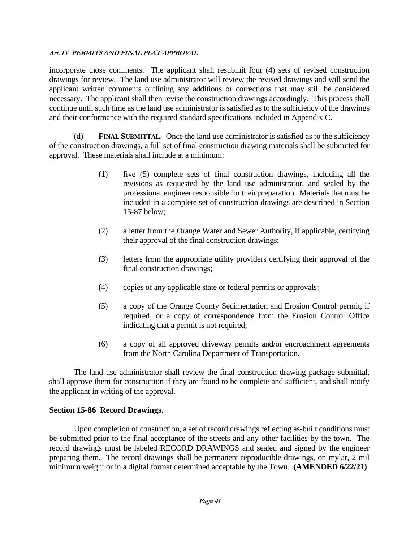incorporate those comments. The applicant shall resubmit four (4) sets of revised construction drawings for review. The land use administrator will review the revised drawings and will send the applicant written comments outlining any additions or corrections that may still be considered necessary. The applicant shall then revise the construction drawings accordingly. This process shall continue until such time as the land use administrator is satisfied as to the sufficiency of the drawings and their conformance with the required standard specifications included in Appendix C.

(d) **FINAL SUBMITTAL**. Once the land use administrator is satisfied as to the sufficiency of the construction drawings, a full set of final construction drawing materials shall be submitted for approval. These materials shall include at a minimum:

- (1) five (5) complete sets of final construction drawings, including all the revisions as requested by the land use administrator, and sealed by the professional engineer responsible for their preparation. Materials that must be included in a complete set of construction drawings are described in Section 15-87 below;
- (2) a letter from the Orange Water and Sewer Authority, if applicable, certifying their approval of the final construction drawings;
- (3) letters from the appropriate utility providers certifying their approval of the final construction drawings;
- (4) copies of any applicable state or federal permits or approvals;
- (5) a copy of the Orange County Sedimentation and Erosion Control permit, if required, or a copy of correspondence from the Erosion Control Office indicating that a permit is not required;
- (6) a copy of all approved driveway permits and/or encroachment agreements from the North Carolina Department of Transportation.

The land use administrator shall review the final construction drawing package submittal, shall approve them for construction if they are found to be complete and sufficient, and shall notify the applicant in writing of the approval.

## **Section 15-86 Record Drawings.**

Upon completion of construction, a set of record drawings reflecting as-built conditions must be submitted prior to the final acceptance of the streets and any other facilities by the town. The record drawings must be labeled RECORD DRAWINGS and sealed and signed by the engineer preparing them. The record drawings shall be permanent reproducible drawings, on mylar, 2 mil minimum weight or in a digital format determined acceptable by the Town. **(AMENDED 6/22/21)**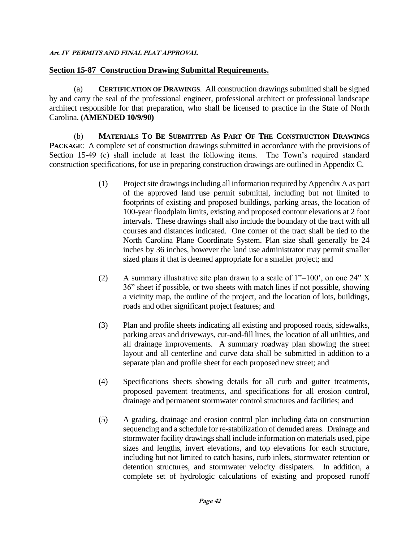## **Section 15-87 Construction Drawing Submittal Requirements.**

(a) **CERTIFICATION OF DRAWINGS**. All construction drawings submitted shall be signed by and carry the seal of the professional engineer, professional architect or professional landscape architect responsible for that preparation, who shall be licensed to practice in the State of North Carolina. **(AMENDED 10/9/90)**

(b) **MATERIALS TO BE SUBMITTED AS PART OF THE CONSTRUCTION DRAWINGS PACKAGE:** A complete set of construction drawings submitted in accordance with the provisions of Section 15-49 (c) shall include at least the following items. The Town's required standard construction specifications, for use in preparing construction drawings are outlined in Appendix C.

- (1) Project site drawings including all information required by Appendix A as part of the approved land use permit submittal, including but not limited to footprints of existing and proposed buildings, parking areas, the location of 100-year floodplain limits, existing and proposed contour elevations at 2 foot intervals. These drawings shall also include the boundary of the tract with all courses and distances indicated. One corner of the tract shall be tied to the North Carolina Plane Coordinate System. Plan size shall generally be 24 inches by 36 inches, however the land use administrator may permit smaller sized plans if that is deemed appropriate for a smaller project; and
- (2) A summary illustrative site plan drawn to a scale of  $1"=100'$ , on one  $24" X$ 36" sheet if possible, or two sheets with match lines if not possible, showing a vicinity map, the outline of the project, and the location of lots, buildings, roads and other significant project features; and
- (3) Plan and profile sheets indicating all existing and proposed roads, sidewalks, parking areas and driveways, cut-and-fill lines, the location of all utilities, and all drainage improvements. A summary roadway plan showing the street layout and all centerline and curve data shall be submitted in addition to a separate plan and profile sheet for each proposed new street; and
- (4) Specifications sheets showing details for all curb and gutter treatments, proposed pavement treatments, and specifications for all erosion control, drainage and permanent stormwater control structures and facilities; and
- (5) A grading, drainage and erosion control plan including data on construction sequencing and a schedule for re-stabilization of denuded areas. Drainage and stormwater facility drawings shall include information on materials used, pipe sizes and lengths, invert elevations, and top elevations for each structure, including but not limited to catch basins, curb inlets, stormwater retention or detention structures, and stormwater velocity dissipaters. In addition, a complete set of hydrologic calculations of existing and proposed runoff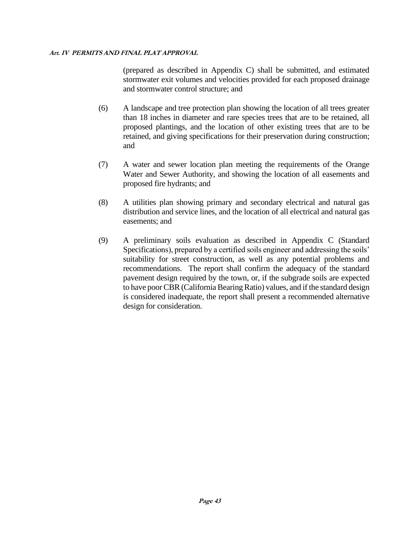(prepared as described in Appendix C) shall be submitted, and estimated stormwater exit volumes and velocities provided for each proposed drainage and stormwater control structure; and

- (6) A landscape and tree protection plan showing the location of all trees greater than 18 inches in diameter and rare species trees that are to be retained, all proposed plantings, and the location of other existing trees that are to be retained, and giving specifications for their preservation during construction; and
- (7) A water and sewer location plan meeting the requirements of the Orange Water and Sewer Authority, and showing the location of all easements and proposed fire hydrants; and
- (8) A utilities plan showing primary and secondary electrical and natural gas distribution and service lines, and the location of all electrical and natural gas easements; and
- (9) A preliminary soils evaluation as described in Appendix C (Standard Specifications), prepared by a certified soils engineer and addressing the soils' suitability for street construction, as well as any potential problems and recommendations. The report shall confirm the adequacy of the standard pavement design required by the town, or, if the subgrade soils are expected to have poor CBR (California Bearing Ratio) values, and if the standard design is considered inadequate, the report shall present a recommended alternative design for consideration.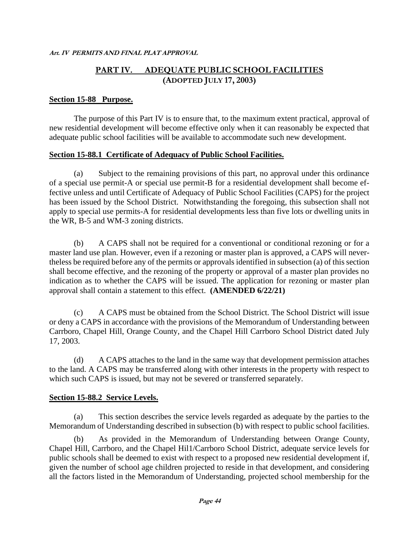## **PART IV. ADEQUATE PUBLIC SCHOOL FACILITIES (ADOPTED JULY 17, 2003)**

#### **Section 15-88 Purpose.**

The purpose of this Part IV is to ensure that, to the maximum extent practical, approval of new residential development will become effective only when it can reasonably be expected that adequate public school facilities will be available to accommodate such new development.

#### **Section 15-88.1 Certificate of Adequacy of Public School Facilities.**

(a) Subject to the remaining provisions of this part, no approval under this ordinance of a special use permit-A or special use permit-B for a residential development shall become effective unless and until Certificate of Adequacy of Public School Facilities (CAPS) for the project has been issued by the School District. Notwithstanding the foregoing, this subsection shall not apply to special use permits-A for residential developments less than five lots or dwelling units in the WR, B-5 and WM-3 zoning districts.

(b) A CAPS shall not be required for a conventional or conditional rezoning or for a master land use plan. However, even if a rezoning or master plan is approved, a CAPS will nevertheless be required before any of the permits or approvals identified in subsection (a) of this section shall become effective, and the rezoning of the property or approval of a master plan provides no indication as to whether the CAPS will be issued. The application for rezoning or master plan approval shall contain a statement to this effect. **(AMENDED 6/22/21)**

(c) A CAPS must be obtained from the School District. The School District will issue or deny a CAPS in accordance with the provisions of the Memorandum of Understanding between Carrboro, Chapel Hill, Orange County, and the Chapel Hill Carrboro School District dated July 17, 2003.

(d) A CAPS attaches to the land in the same way that development permission attaches to the land. A CAPS may be transferred along with other interests in the property with respect to which such CAPS is issued, but may not be severed or transferred separately.

#### **Section 15-88.2 Service Levels.**

(a) This section describes the service levels regarded as adequate by the parties to the Memorandum of Understanding described in subsection (b) with respect to public school facilities.

(b) As provided in the Memorandum of Understanding between Orange County, Chapel Hill, Carrboro, and the Chapel Hil1/Carrboro School District, adequate service levels for public schools shall be deemed to exist with respect to a proposed new residential development if, given the number of school age children projected to reside in that development, and considering all the factors listed in the Memorandum of Understanding, projected school membership for the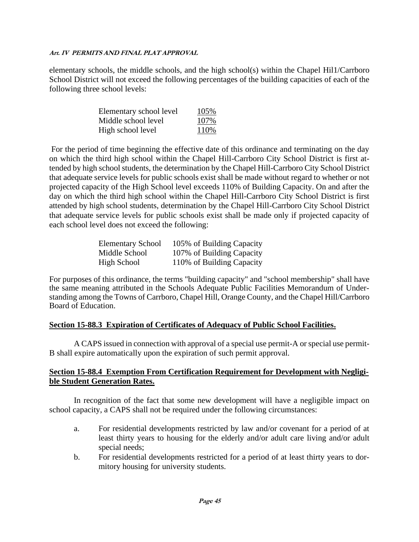elementary schools, the middle schools, and the high school(s) within the Chapel Hil1/Carrboro School District will not exceed the following percentages of the building capacities of each of the following three school levels:

| Elementary school level | 105% |
|-------------------------|------|
| Middle school level     | 107% |
| High school level       | 110% |

For the period of time beginning the effective date of this ordinance and terminating on the day on which the third high school within the Chapel Hill-Carrboro City School District is first attended by high school students, the determination by the Chapel Hill-Carrboro City School District that adequate service levels for public schools exist shall be made without regard to whether or not projected capacity of the High School level exceeds 110% of Building Capacity. On and after the day on which the third high school within the Chapel Hill-Carrboro City School District is first attended by high school students, determination by the Chapel Hill-Carrboro City School District that adequate service levels for public schools exist shall be made only if projected capacity of each school level does not exceed the following:

| <b>Elementary School</b> | 105% of Building Capacity |
|--------------------------|---------------------------|
| Middle School            | 107% of Building Capacity |
| High School              | 110% of Building Capacity |

For purposes of this ordinance, the terms "building capacity" and "school membership" shall have the same meaning attributed in the Schools Adequate Public Facilities Memorandum of Understanding among the Towns of Carrboro, Chapel Hill, Orange County, and the Chapel Hill/Carrboro Board of Education.

## **Section 15-88.3 Expiration of Certificates of Adequacy of Public School Facilities.**

A CAPS issued in connection with approval of a special use permit-A or special use permit-B shall expire automatically upon the expiration of such permit approval.

## **Section 15-88.4 Exemption From Certification Requirement for Development with Negligible Student Generation Rates.**

In recognition of the fact that some new development will have a negligible impact on school capacity, a CAPS shall not be required under the following circumstances:

- a. For residential developments restricted by law and/or covenant for a period of at least thirty years to housing for the elderly and/or adult care living and/or adult special needs;
- b. For residential developments restricted for a period of at least thirty years to dormitory housing for university students.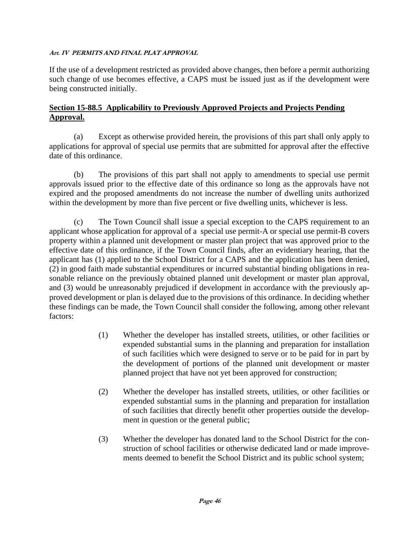If the use of a development restricted as provided above changes, then before a permit authorizing such change of use becomes effective, a CAPS must be issued just as if the development were being constructed initially.

## **Section 15-88.5 Applicability to Previously Approved Projects and Projects Pending Approval.**

(a) Except as otherwise provided herein, the provisions of this part shall only apply to applications for approval of special use permits that are submitted for approval after the effective date of this ordinance.

(b) The provisions of this part shall not apply to amendments to special use permit approvals issued prior to the effective date of this ordinance so long as the approvals have not expired and the proposed amendments do not increase the number of dwelling units authorized within the development by more than five percent or five dwelling units, whichever is less.

(c) The Town Council shall issue a special exception to the CAPS requirement to an applicant whose application for approval of a special use permit-A or special use permit-B covers property within a planned unit development or master plan project that was approved prior to the effective date of this ordinance, if the Town Council finds, after an evidentiary hearing, that the applicant has (1) applied to the School District for a CAPS and the application has been denied, (2) in good faith made substantial expenditures or incurred substantial binding obligations in reasonable reliance on the previously obtained planned unit development or master plan approval, and (3) would be unreasonably prejudiced if development in accordance with the previously approved development or plan is delayed due to the provisions of this ordinance. In deciding whether these findings can be made, the Town Council shall consider the following, among other relevant factors:

- (1) Whether the developer has installed streets, utilities, or other facilities or expended substantial sums in the planning and preparation for installation of such facilities which were designed to serve or to be paid for in part by the development of portions of the planned unit development or master planned project that have not yet been approved for construction;
- (2) Whether the developer has installed streets, utilities, or other facilities or expended substantial sums in the planning and preparation for installation of such facilities that directly benefit other properties outside the development in question or the general public;
- (3) Whether the developer has donated land to the School District for the construction of school facilities or otherwise dedicated land or made improvements deemed to benefit the School District and its public school system;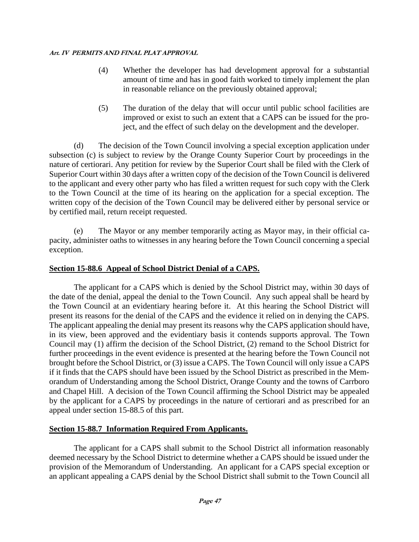- (4) Whether the developer has had development approval for a substantial amount of time and has in good faith worked to timely implement the plan in reasonable reliance on the previously obtained approval;
- (5) The duration of the delay that will occur until public school facilities are improved or exist to such an extent that a CAPS can be issued for the project, and the effect of such delay on the development and the developer.

(d) The decision of the Town Council involving a special exception application under subsection (c) is subject to review by the Orange County Superior Court by proceedings in the nature of certiorari. Any petition for review by the Superior Court shall be filed with the Clerk of Superior Court within 30 days after a written copy of the decision of the Town Council is delivered to the applicant and every other party who has filed a written request for such copy with the Clerk to the Town Council at the time of its hearing on the application for a special exception. The written copy of the decision of the Town Council may be delivered either by personal service or by certified mail, return receipt requested.

(e) The Mayor or any member temporarily acting as Mayor may, in their official capacity, administer oaths to witnesses in any hearing before the Town Council concerning a special exception.

## **Section 15-88.6 Appeal of School District Denial of a CAPS.**

The applicant for a CAPS which is denied by the School District may, within 30 days of the date of the denial, appeal the denial to the Town Council. Any such appeal shall be heard by the Town Council at an evidentiary hearing before it. At this hearing the School District will present its reasons for the denial of the CAPS and the evidence it relied on in denying the CAPS. The applicant appealing the denial may present its reasons why the CAPS application should have, in its view, been approved and the evidentiary basis it contends supports approval. The Town Council may (1) affirm the decision of the School District, (2) remand to the School District for further proceedings in the event evidence is presented at the hearing before the Town Council not brought before the School District, or (3) issue a CAPS. The Town Council will only issue a CAPS if it finds that the CAPS should have been issued by the School District as prescribed in the Memorandum of Understanding among the School District, Orange County and the towns of Carrboro and Chapel Hill. A decision of the Town Council affirming the School District may be appealed by the applicant for a CAPS by proceedings in the nature of certiorari and as prescribed for an appeal under section 15-88.5 of this part.

## **Section 15-88.7 Information Required From Applicants.**

The applicant for a CAPS shall submit to the School District all information reasonably deemed necessary by the School District to determine whether a CAPS should be issued under the provision of the Memorandum of Understanding. An applicant for a CAPS special exception or an applicant appealing a CAPS denial by the School District shall submit to the Town Council all